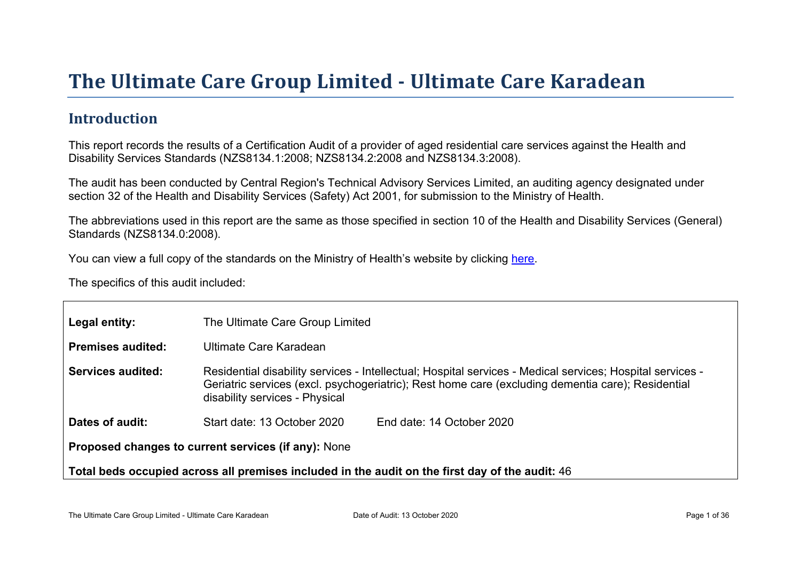# The Ultimate Car e Gr oup Limited - Ultimate Car e Kar adean

#### Introduction

This report records the results of a Certification Audit of a provider of aged residential care services against the Health and Disability Services Standards (NZS8134.1:2008; NZS8134.2:2008 and NZS8134.3:2008).

The audit has been conducted by Central Region's Technical Advisory Services Limited, an auditing agency designated under section 32 of the Health and Disability Services (Safety) Act 2001, for submission to the Ministry of Health.

The abbreviations used in this report are the same as those specified in section 10 of the Health and Disability Services (General) Standards (NZS8134.0:2008).

You can view a full copy of the standards on the Ministry of Health's website by clicking [here.](http://www.health.govt.nz/our-work/regulation-health-and-disability-system/certification-health-care-services/health-and-disability-services-standards)

The specifics of this audit included:

| Legal entity:                                                                                      | The Ultimate Care Group Limited                                                                                                                                                                                                                  |  |  |  |
|----------------------------------------------------------------------------------------------------|--------------------------------------------------------------------------------------------------------------------------------------------------------------------------------------------------------------------------------------------------|--|--|--|
| Premises audited:                                                                                  | Ultimate Care Karadean                                                                                                                                                                                                                           |  |  |  |
| Services audited:                                                                                  | Residential disability services - Intellectual; Hospital services - Medical services; Hospital services -<br>Geriatric services (excl. psychogeriatric); Rest home care (excluding dementia care); Residential<br>disability services - Physical |  |  |  |
| Dates of audit:                                                                                    | Start date: 13 October 2020<br>End date: 14 October 2020                                                                                                                                                                                         |  |  |  |
| Proposed changes to current<br>services (if any): None                                             |                                                                                                                                                                                                                                                  |  |  |  |
| Total beds occupied across all premises included<br>in the audit on the first day of the audit: 46 |                                                                                                                                                                                                                                                  |  |  |  |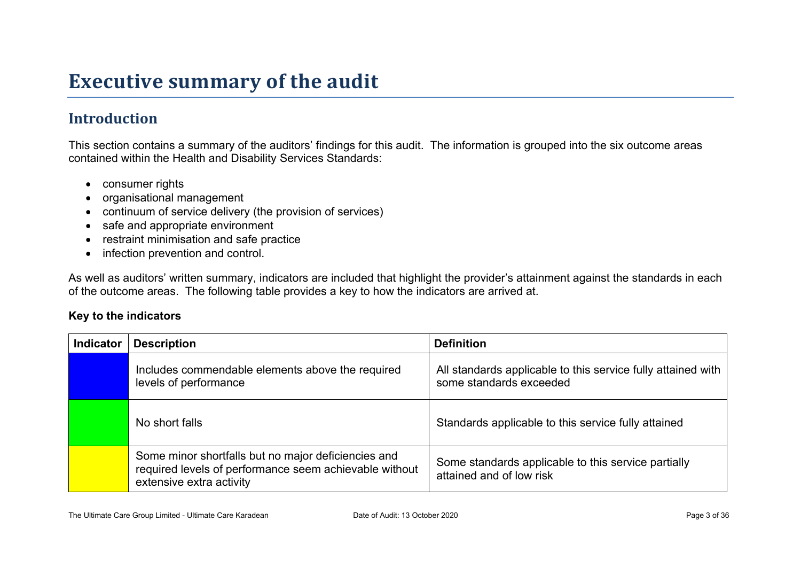# **Executive summary of the audit**

#### **Introduction**

This section contains a summary of the auditors' findings for this audit. The information is grouped into the six outcome areas contained within the Health and Disability Services Standards:

- consumer rights
- organisational management
- continuum of service delivery (the provision of services)
- safe and appropriate environment
- restraint minimisation and safe practice
- infection prevention and control.

As well as auditors' written summary, indicators are included that highlight the provider's attainment against the standards in each of the outcome areas. The following table provides a key to how the indicators are arrived at.

#### **Key to the indicators**

| <b>Indicator</b> | <b>Description</b>                                                                                                                        | <b>Definition</b>                                                                       |
|------------------|-------------------------------------------------------------------------------------------------------------------------------------------|-----------------------------------------------------------------------------------------|
|                  | Includes commendable elements above the required<br>levels of performance                                                                 | All standards applicable to this service fully attained with<br>some standards exceeded |
|                  | No short falls                                                                                                                            | Standards applicable to this service fully attained                                     |
|                  | Some minor shortfalls but no major deficiencies and<br>required levels of performance seem achievable without<br>extensive extra activity | Some standards applicable to this service partially<br>attained and of low risk         |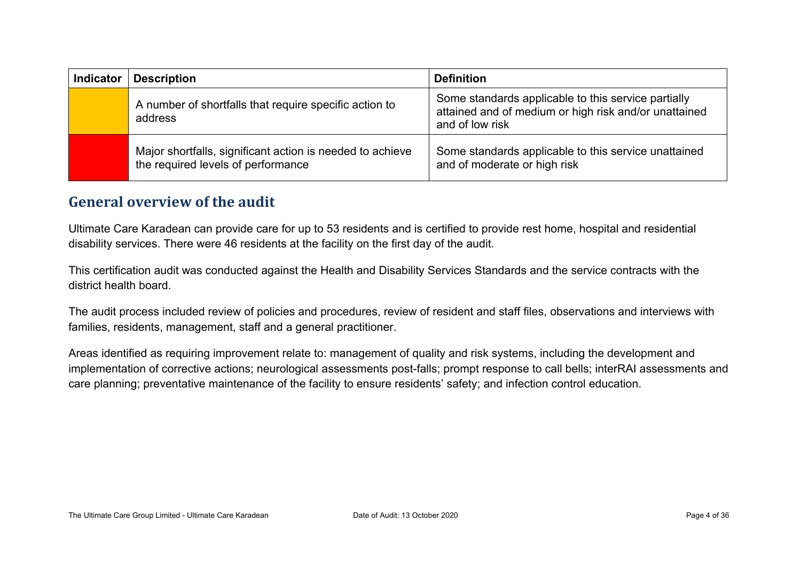| <b>Indicator</b> | <b>Description</b>                                                                              | <b>Definition</b>                                                                                                               |
|------------------|-------------------------------------------------------------------------------------------------|---------------------------------------------------------------------------------------------------------------------------------|
|                  | A number of shortfalls that require specific action to<br>address                               | Some standards applicable to this service partially<br>attained and of medium or high risk and/or unattained<br>and of low risk |
|                  | Major shortfalls, significant action is needed to achieve<br>the required levels of performance | Some standards applicable to this service unattained<br>and of moderate or high risk                                            |

#### **General overview of the audit**

Ultimate Care Karadean can provide care for up to 53 residents and is certified to provide rest home, hospital and residential disability services. There were 46 residents at the facility on the first day of the audit.

This certification audit was conducted against the Health and Disability Services Standards and the service contracts with the district health board.

The audit process included review of policies and procedures, review of resident and staff files, observations and interviews with families, residents, management, staff and a general practitioner.

Areas identified as requiring improvement relate to: management of quality and risk systems, including the development and implementation of corrective actions; neurological assessments post-falls; prompt response to call bells; interRAI assessments and care planning; preventative maintenance of the facility to ensure residents' safety; and infection control education.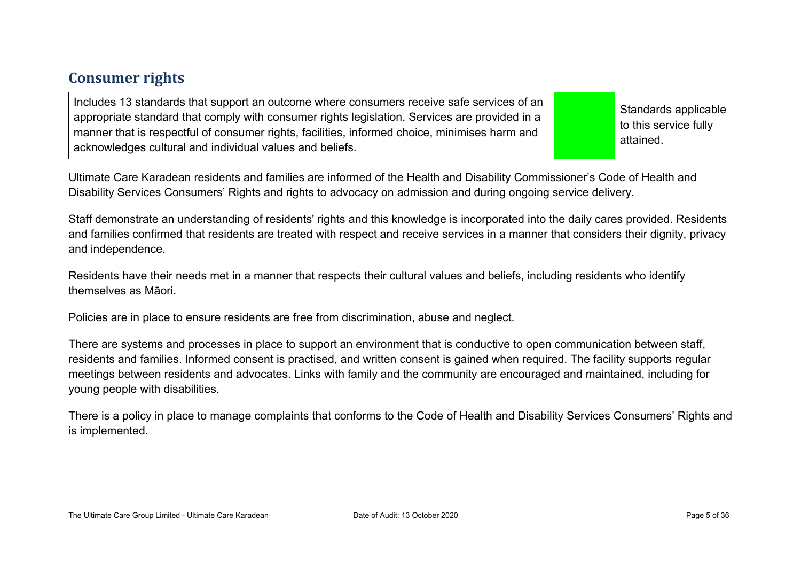#### **Consumer rights**

| Includes 13 standards that support an outcome where consumers receive safe services of an<br>appropriate standard that comply with consumer rights legislation. Services are provided in a<br>manner that is respectful of consumer rights, facilities, informed choice, minimises harm and<br>acknowledges cultural and individual values and beliefs. |  | Standards applicable<br>to this service fully<br>attained. |
|---------------------------------------------------------------------------------------------------------------------------------------------------------------------------------------------------------------------------------------------------------------------------------------------------------------------------------------------------------|--|------------------------------------------------------------|
|---------------------------------------------------------------------------------------------------------------------------------------------------------------------------------------------------------------------------------------------------------------------------------------------------------------------------------------------------------|--|------------------------------------------------------------|

Ultimate Care Karadean residents and families are informed of the Health and Disability Commissioner's Code of Health and Disability Services Consumers' Rights and rights to advocacy on admission and during ongoing service delivery.

Staff demonstrate an understanding of residents' rights and this knowledge is incorporated into the daily cares provided. Residents and families confirmed that residents are treated with respect and receive services in a manner that considers their dignity, privacy and independence.

Residents have their needs met in a manner that respects their cultural values and beliefs, including residents who identify themselves as Māori.

Policies are in place to ensure residents are free from discrimination, abuse and neglect.

There are systems and processes in place to support an environment that is conductive to open communication between staff, residents and families. Informed consent is practised, and written consent is gained when required. The facility supports regular meetings between residents and advocates. Links with family and the community are encouraged and maintained, including for young people with disabilities.

There is a policy in place to manage complaints that conforms to the Code of Health and Disability Services Consumers' Rights and is implemented.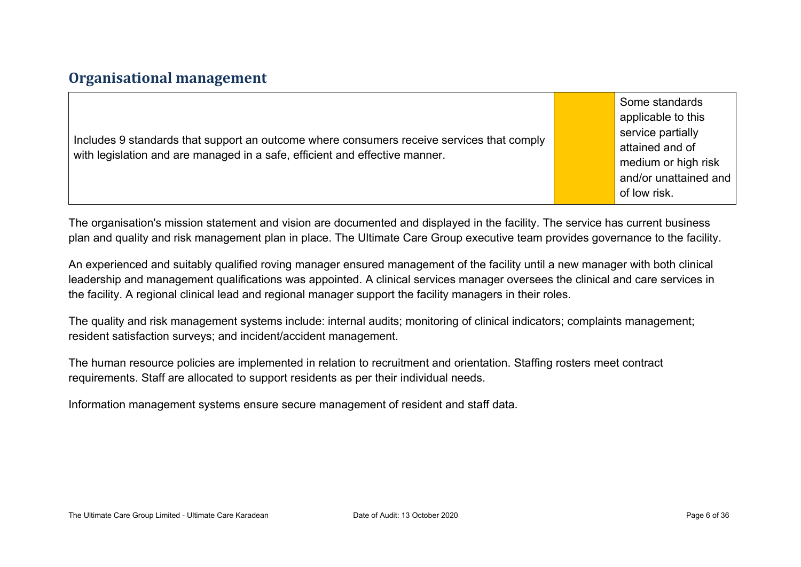#### **Organisational management**

Includes 9 standards that support an outcome where consumers receive services that comply with legislation and are managed in a safe, efficient and effective manner.

Some standards applicable to this service partially attained and of medium or high risk and/or unattained and of low risk.

The organisation's mission statement and vision are documented and displayed in the facility. The service has current business plan and quality and risk management plan in place. The Ultimate Care Group executive team provides governance to the facility.

An experienced and suitably qualified roving manager ensured management of the facility until a new manager with both clinical leadership and management qualifications was appointed. A clinical services manager oversees the clinical and care services in the facility. A regional clinical lead and regional manager support the facility managers in their roles.

The quality and risk management systems include: internal audits; monitoring of clinical indicators; complaints management; resident satisfaction surveys; and incident/accident management.

The human resource policies are implemented in relation to recruitment and orientation. Staffing rosters meet contract requirements. Staff are allocated to support residents as per their individual needs.

Information management systems ensure secure management of resident and staff data.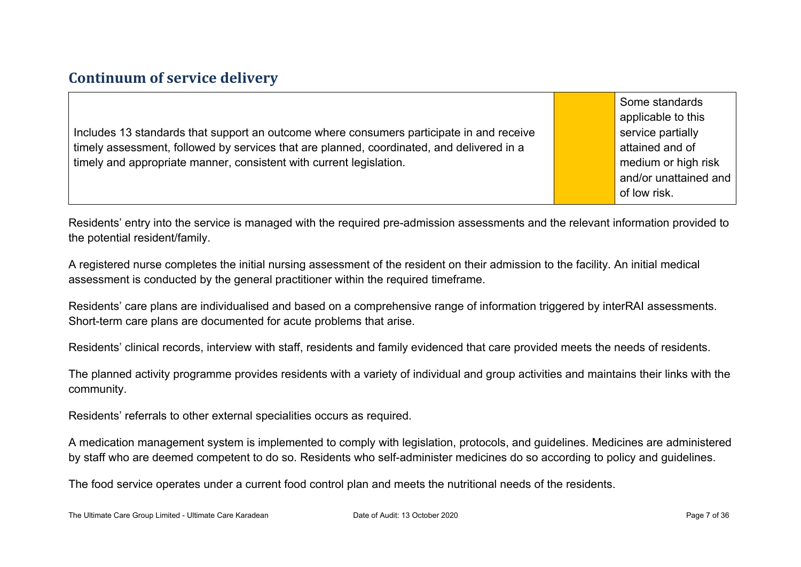#### **Continuum of service delivery**

Includes 13 standards that support an outcome where consumers participate in and receive timely assessment, followed by services that are planned, coordinated, and delivered in a timely and appropriate manner, consistent with current legislation.

Some standards applicable to this service partially attained and of medium or high risk and/or unattained and of low risk.

Residents' entry into the service is managed with the required pre-admission assessments and the relevant information provided to the potential resident/family.

A registered nurse completes the initial nursing assessment of the resident on their admission to the facility. An initial medical assessment is conducted by the general practitioner within the required timeframe.

Residents' care plans are individualised and based on a comprehensive range of information triggered by interRAI assessments. Short-term care plans are documented for acute problems that arise.

Residents' clinical records, interview with staff, residents and family evidenced that care provided meets the needs of residents.

The planned activity programme provides residents with a variety of individual and group activities and maintains their links with the community.

Residents' referrals to other external specialities occurs as required.

A medication management system is implemented to comply with legislation, protocols, and guidelines. Medicines are administered by staff who are deemed competent to do so. Residents who self-administer medicines do so according to policy and guidelines.

The food service operates under a current food control plan and meets the nutritional needs of the residents.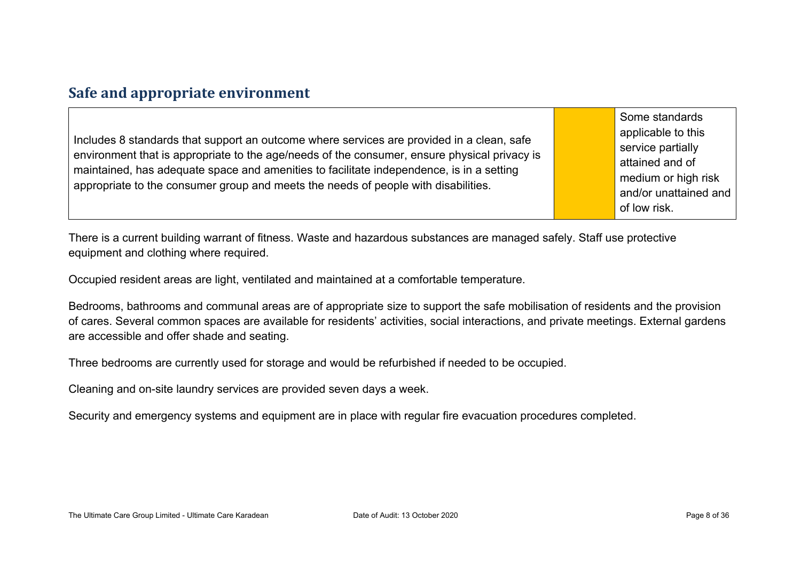#### **Safe and appropriate environment**

Includes 8 standards that support an outcome where services are provided in a clean, safe environment that is appropriate to the age/needs of the consumer, ensure physical privacy is maintained, has adequate space and amenities to facilitate independence, is in a setting appropriate to the consumer group and meets the needs of people with disabilities.

Some standards applicable to this service partially attained and of medium or high risk and/or unattained and of low risk.

There is a current building warrant of fitness. Waste and hazardous substances are managed safely. Staff use protective equipment and clothing where required.

Occupied resident areas are light, ventilated and maintained at a comfortable temperature.

Bedrooms, bathrooms and communal areas are of appropriate size to support the safe mobilisation of residents and the provision of cares. Several common spaces are available for residents' activities, social interactions, and private meetings. External gardens are accessible and offer shade and seating.

Three bedrooms are currently used for storage and would be refurbished if needed to be occupied.

Cleaning and on-site laundry services are provided seven days a week.

Security and emergency systems and equipment are in place with regular fire evacuation procedures completed.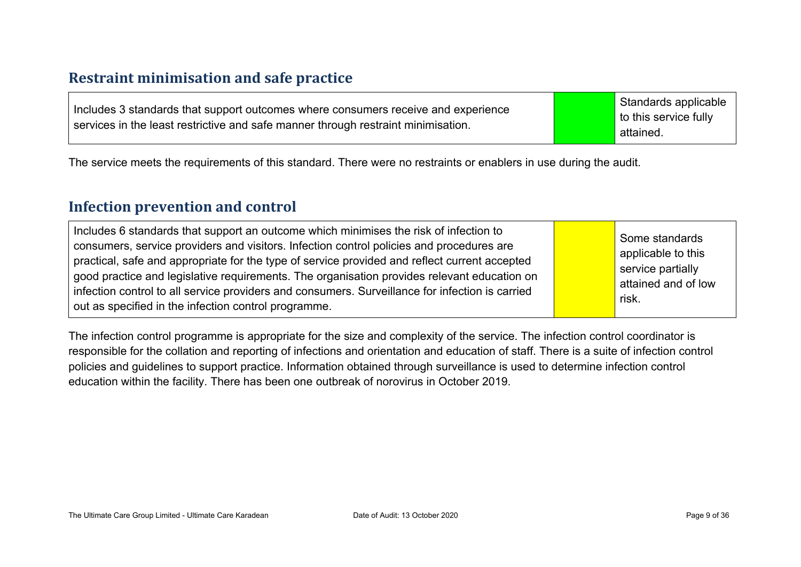#### **Restraint minimisation and safe practice**

|                                                                                   | Standards applicable          |
|-----------------------------------------------------------------------------------|-------------------------------|
| Includes 3 standards that support outcomes where consumers receive and experience | $\vert$ to this service fully |
| services in the least restrictive and safe manner through restraint minimisation. | attained.                     |

The service meets the requirements of this standard. There were no restraints or enablers in use during the audit.

#### **Infection prevention and control**

The infection control programme is appropriate for the size and complexity of the service. The infection control coordinator is responsible for the collation and reporting of infections and orientation and education of staff. There is a suite of infection control policies and guidelines to support practice. Information obtained through surveillance is used to determine infection control education within the facility. There has been one outbreak of norovirus in October 2019.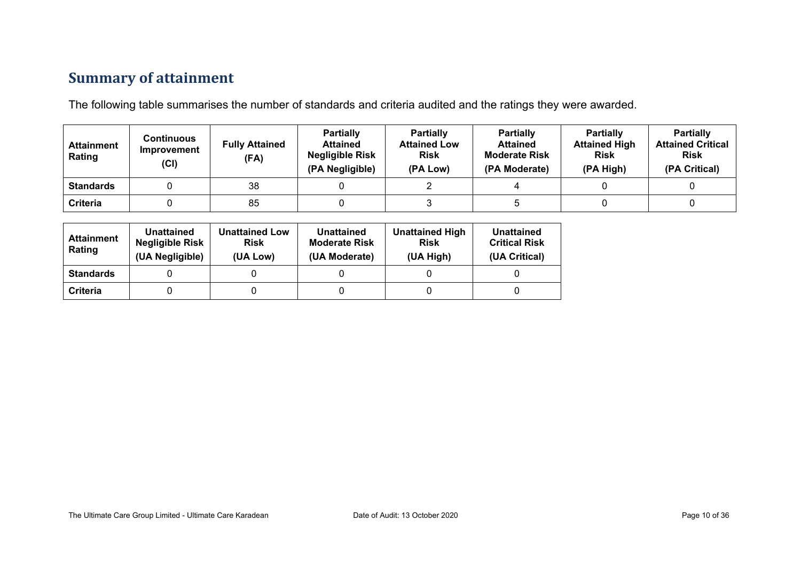### **Summary of attainment**

The following table summarises the number of standards and criteria audited and the ratings they were awarded.

| <b>Attainment</b><br>Rating | Continuous<br>Improvement<br>(Cl) | <b>Fully Attained</b><br>(FA) | <b>Partially</b><br><b>Attained</b><br><b>Negligible Risk</b><br>(PA Negligible) | <b>Partially</b><br><b>Attained Low</b><br><b>Risk</b><br>(PA Low) | <b>Partially</b><br><b>Attained</b><br><b>Moderate Risk</b><br>(PA Moderate) | <b>Partially</b><br><b>Attained High</b><br><b>Risk</b><br>(PA High) | <b>Partially</b><br><b>Attained Critical</b><br><b>Risk</b><br>(PA Critical) |
|-----------------------------|-----------------------------------|-------------------------------|----------------------------------------------------------------------------------|--------------------------------------------------------------------|------------------------------------------------------------------------------|----------------------------------------------------------------------|------------------------------------------------------------------------------|
| <b>Standards</b>            |                                   | 38                            |                                                                                  |                                                                    |                                                                              |                                                                      |                                                                              |
| Criteria                    |                                   | 85                            |                                                                                  |                                                                    |                                                                              |                                                                      |                                                                              |

| <b>Attainment</b><br>Rating | Unattained<br><b>Negligible Risk</b><br>(UA Negligible) | <b>Unattained Low</b><br><b>Risk</b><br>(UA Low) | Unattained<br><b>Moderate Risk</b><br>(UA Moderate) | <b>Unattained High</b><br><b>Risk</b><br>(UA High) | Unattained<br><b>Critical Risk</b><br>(UA Critical) |
|-----------------------------|---------------------------------------------------------|--------------------------------------------------|-----------------------------------------------------|----------------------------------------------------|-----------------------------------------------------|
| <b>Standards</b>            |                                                         |                                                  |                                                     |                                                    |                                                     |
| Criteria                    |                                                         |                                                  |                                                     |                                                    |                                                     |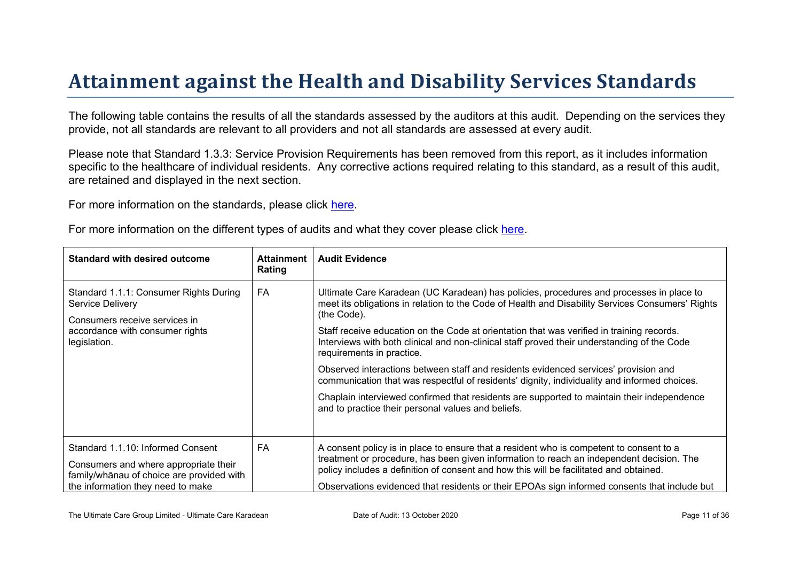# Attainment against the Health and Disability Ser vices Standar ds

The following table contains the results of all the standards assessed by the auditors at this audit. Depending on the services they provide, not all standards are relevant to all providers and not all standards are assessed at every audit.

Please note that Standard 1.3.3: Service Provision Requirements has been removed from this report, as it includes information specific to the healthcare of individual residents. Any corrective actions required relating to this standard, as a result of this audit, are retained and displayed in the next section.

For more information on the standards, please click [here](http://www.health.govt.nz/our-work/regulation-health-and-disability-system/certification-health-care-services/health-and-disability-services-standards).

|  | For more information on the different types of audits and what they cover please click here. |
|--|----------------------------------------------------------------------------------------------|
|  |                                                                                              |

| Standard with desired outcome                                                                                                                             | Attainment<br>Rating | Audit Evidence                                                                                                                                                                                                                                                                                                                                                                                                                                                                                                                                                                                                                                                                                                                                                                 |
|-----------------------------------------------------------------------------------------------------------------------------------------------------------|----------------------|--------------------------------------------------------------------------------------------------------------------------------------------------------------------------------------------------------------------------------------------------------------------------------------------------------------------------------------------------------------------------------------------------------------------------------------------------------------------------------------------------------------------------------------------------------------------------------------------------------------------------------------------------------------------------------------------------------------------------------------------------------------------------------|
| Standard 1.1.1: Consumer Rights During<br>Service Delivery<br>Consumers receive services in<br>accordance with consumer rights<br>legislation.            | FA                   | Ultimate Care Karadean (UC Karadean) has policies, procedures and processes in place to<br>meet its obligations in relation to the Code of Health and Disability Services Consumers' Rights<br>(the Code).<br>Staff receive education on the Code at orientation that was verified in training records.<br>Interviews with both clinical and non-clinical staff proved their understanding of the Code<br>requirements in practice.<br>Observed interactions between staff and residents evidenced services' provision and<br>communication that was respectful of residents' dignity, individuality and informed choices.<br>Chaplain interviewed confirmed that residents are supported to maintain their independence<br>and to practice their personal values and beliefs. |
| Standard 1.1.10: Informed Consent<br>Consumers and where appropriate their<br>$\geq 6$ @ of choice are provided with<br>the information they need to make | FA                   | A consent policy is in place to ensure that a resident who is competent to consent to a<br>treatment or procedure, has been given information to reach an independent decision. The<br>policy includes a definition of consent and how this will be facilitated and obtained.<br>Observations evidenced that residents or their EPOAs sign informed consents that include but                                                                                                                                                                                                                                                                                                                                                                                                  |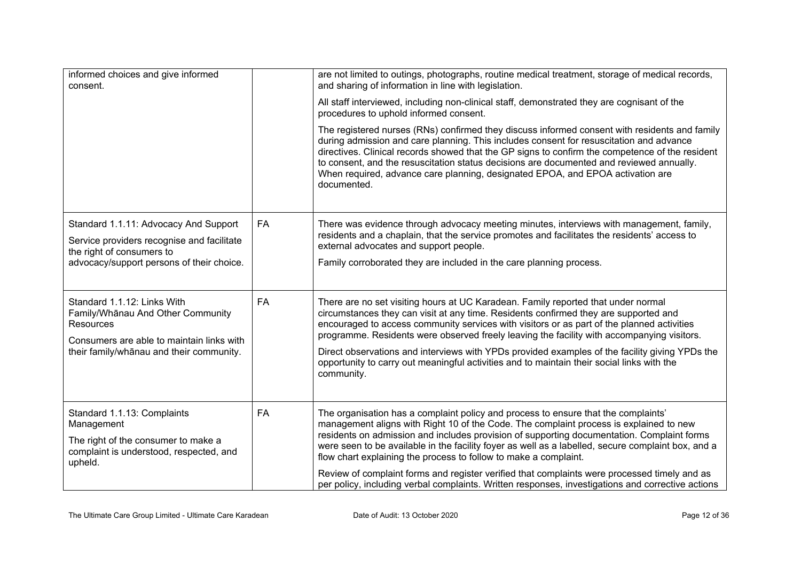| informed choices and give informed<br>consent.                                            |    | are not limited to outings, photographs, routine medical treatment, storage of medical records,<br>and sharing of information in line with legislation.                                                                                                                                                                                                                                                                                                                                  |
|-------------------------------------------------------------------------------------------|----|------------------------------------------------------------------------------------------------------------------------------------------------------------------------------------------------------------------------------------------------------------------------------------------------------------------------------------------------------------------------------------------------------------------------------------------------------------------------------------------|
|                                                                                           |    | All staff interviewed, including non-clinical staff, demonstrated they are cognisant of the<br>procedures to uphold informed consent.                                                                                                                                                                                                                                                                                                                                                    |
|                                                                                           |    | The registered nurses (RNs) confirmed they discuss informed consent with residents and family<br>during admission and care planning. This includes consent for resuscitation and advance<br>directives. Clinical records showed that the GP signs to confirm the competence of the resident<br>to consent, and the resuscitation status decisions are documented and reviewed annually.<br>When required, advance care planning, designated EPOA, and EPOA activation are<br>documented. |
| Standard 1.1.11: Advocacy And Support<br>Service providers recognise and facilitate       | FA | There was evidence through advocacy meeting minutes, interviews with management, family,<br>residents and a chaplain, that the service promotes and facilitates the residents' access to<br>external advocates and support people.                                                                                                                                                                                                                                                       |
| the right of consumers to<br>advocacy/support persons of their choice.                    |    | Family corroborated they are included in the care planning process.                                                                                                                                                                                                                                                                                                                                                                                                                      |
| Standard 1.1.12: Links With<br>Family/Whanau And Other Community<br><b>Resources</b>      | FA | There are no set visiting hours at UC Karadean. Family reported that under normal<br>circumstances they can visit at any time. Residents confirmed they are supported and<br>encouraged to access community services with visitors or as part of the planned activities                                                                                                                                                                                                                  |
| Consumers are able to maintain links with                                                 |    | programme. Residents were observed freely leaving the facility with accompanying visitors.                                                                                                                                                                                                                                                                                                                                                                                               |
| their family/whanau and their community.                                                  |    | Direct observations and interviews with YPDs provided examples of the facility giving YPDs the<br>opportunity to carry out meaningful activities and to maintain their social links with the<br>community.                                                                                                                                                                                                                                                                               |
| Standard 1.1.13: Complaints<br>Management                                                 | FA | The organisation has a complaint policy and process to ensure that the complaints'<br>management aligns with Right 10 of the Code. The complaint process is explained to new                                                                                                                                                                                                                                                                                                             |
| The right of the consumer to make a<br>complaint is understood, respected, and<br>upheld. |    | residents on admission and includes provision of supporting documentation. Complaint forms<br>were seen to be available in the facility foyer as well as a labelled, secure complaint box, and a<br>flow chart explaining the process to follow to make a complaint.                                                                                                                                                                                                                     |
|                                                                                           |    | Review of complaint forms and register verified that complaints were processed timely and as<br>per policy, including verbal complaints. Written responses, investigations and corrective actions                                                                                                                                                                                                                                                                                        |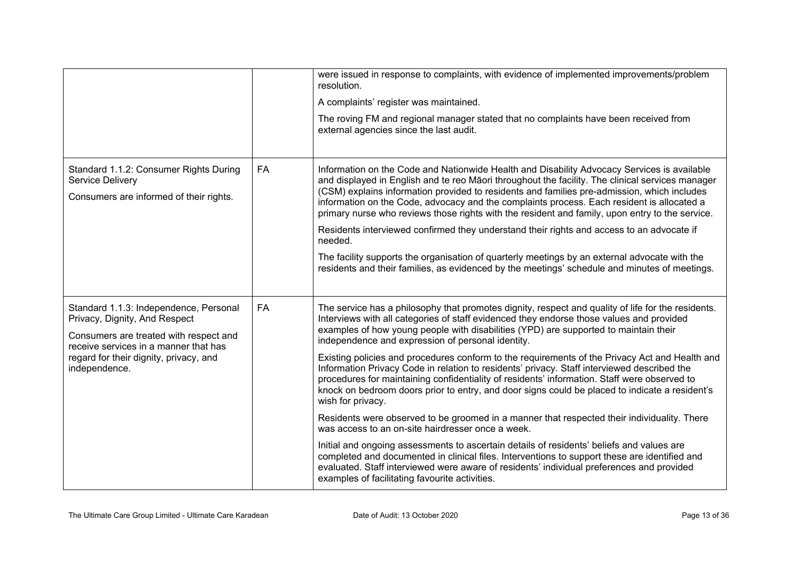|                                                                                                                                                            |           | were issued in response to complaints, with evidence of implemented improvements/problem<br>resolution.<br>A complaints' register was maintained.                                                                                                                                                                                                                                                                    |
|------------------------------------------------------------------------------------------------------------------------------------------------------------|-----------|----------------------------------------------------------------------------------------------------------------------------------------------------------------------------------------------------------------------------------------------------------------------------------------------------------------------------------------------------------------------------------------------------------------------|
|                                                                                                                                                            |           | The roving FM and regional manager stated that no complaints have been received from<br>external agencies since the last audit.                                                                                                                                                                                                                                                                                      |
| Standard 1.1.2: Consumer Rights During<br>Service Delivery<br>Consumers are informed of their rights.                                                      | <b>FA</b> | Information on the Code and Nationwide Health and Disability Advocacy Services is available<br>and displayed in English and te reo Māori throughout the facility. The clinical services manager<br>(CSM) explains information provided to residents and families pre-admission, which includes<br>information on the Code, advocacy and the complaints process. Each resident is allocated a                         |
|                                                                                                                                                            |           | primary nurse who reviews those rights with the resident and family, upon entry to the service.<br>Residents interviewed confirmed they understand their rights and access to an advocate if<br>needed.                                                                                                                                                                                                              |
|                                                                                                                                                            |           | The facility supports the organisation of quarterly meetings by an external advocate with the<br>residents and their families, as evidenced by the meetings' schedule and minutes of meetings.                                                                                                                                                                                                                       |
| Standard 1.1.3: Independence, Personal<br>Privacy, Dignity, And Respect<br>Consumers are treated with respect and<br>receive services in a manner that has | <b>FA</b> | The service has a philosophy that promotes dignity, respect and quality of life for the residents.<br>Interviews with all categories of staff evidenced they endorse those values and provided<br>examples of how young people with disabilities (YPD) are supported to maintain their<br>independence and expression of personal identity.                                                                          |
| regard for their dignity, privacy, and<br>independence.                                                                                                    |           | Existing policies and procedures conform to the requirements of the Privacy Act and Health and<br>Information Privacy Code in relation to residents' privacy. Staff interviewed described the<br>procedures for maintaining confidentiality of residents' information. Staff were observed to<br>knock on bedroom doors prior to entry, and door signs could be placed to indicate a resident's<br>wish for privacy. |
|                                                                                                                                                            |           | Residents were observed to be groomed in a manner that respected their individuality. There<br>was access to an on-site hairdresser once a week.                                                                                                                                                                                                                                                                     |
|                                                                                                                                                            |           | Initial and ongoing assessments to ascertain details of residents' beliefs and values are<br>completed and documented in clinical files. Interventions to support these are identified and<br>evaluated. Staff interviewed were aware of residents' individual preferences and provided<br>examples of facilitating favourite activities.                                                                            |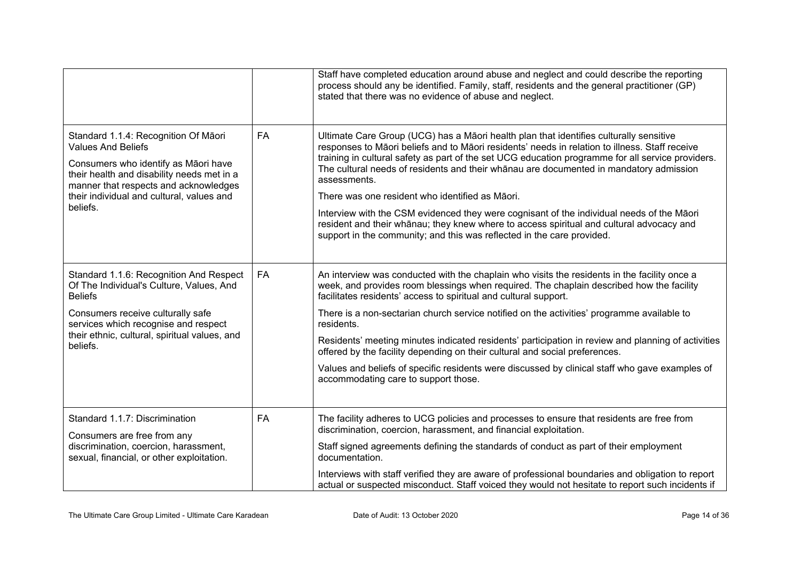|                                                                                                                                                                                                                                                           |           | Staff have completed education around abuse and neglect and could describe the reporting<br>process should any be identified. Family, staff, residents and the general practitioner (GP)<br>stated that there was no evidence of abuse and neglect.                                                                                                                                                                                                                                                                                                                                                                                                                                                                           |
|-----------------------------------------------------------------------------------------------------------------------------------------------------------------------------------------------------------------------------------------------------------|-----------|-------------------------------------------------------------------------------------------------------------------------------------------------------------------------------------------------------------------------------------------------------------------------------------------------------------------------------------------------------------------------------------------------------------------------------------------------------------------------------------------------------------------------------------------------------------------------------------------------------------------------------------------------------------------------------------------------------------------------------|
| Standard 1.1.4: Recognition Of Māori<br><b>Values And Beliefs</b><br>Consumers who identify as Māori have<br>their health and disability needs met in a<br>manner that respects and acknowledges<br>their individual and cultural, values and<br>beliefs. | FA        | Ultimate Care Group (UCG) has a Māori health plan that identifies culturally sensitive<br>responses to Māori beliefs and to Māori residents' needs in relation to illness. Staff receive<br>training in cultural safety as part of the set UCG education programme for all service providers.<br>The cultural needs of residents and their whanau are documented in mandatory admission<br>assessments.<br>There was one resident who identified as Māori.<br>Interview with the CSM evidenced they were cognisant of the individual needs of the Māori<br>resident and their whānau; they knew where to access spiritual and cultural advocacy and<br>support in the community; and this was reflected in the care provided. |
| Standard 1.1.6: Recognition And Respect<br>Of The Individual's Culture, Values, And<br><b>Beliefs</b><br>Consumers receive culturally safe<br>services which recognise and respect<br>their ethnic, cultural, spiritual values, and<br>beliefs.           | <b>FA</b> | An interview was conducted with the chaplain who visits the residents in the facility once a<br>week, and provides room blessings when required. The chaplain described how the facility<br>facilitates residents' access to spiritual and cultural support.<br>There is a non-sectarian church service notified on the activities' programme available to<br>residents.<br>Residents' meeting minutes indicated residents' participation in review and planning of activities<br>offered by the facility depending on their cultural and social preferences.<br>Values and beliefs of specific residents were discussed by clinical staff who gave examples of<br>accommodating care to support those.                       |
| Standard 1.1.7: Discrimination<br>Consumers are free from any<br>discrimination, coercion, harassment,<br>sexual, financial, or other exploitation.                                                                                                       | <b>FA</b> | The facility adheres to UCG policies and processes to ensure that residents are free from<br>discrimination, coercion, harassment, and financial exploitation.<br>Staff signed agreements defining the standards of conduct as part of their employment<br>documentation.<br>Interviews with staff verified they are aware of professional boundaries and obligation to report<br>actual or suspected misconduct. Staff voiced they would not hesitate to report such incidents if                                                                                                                                                                                                                                            |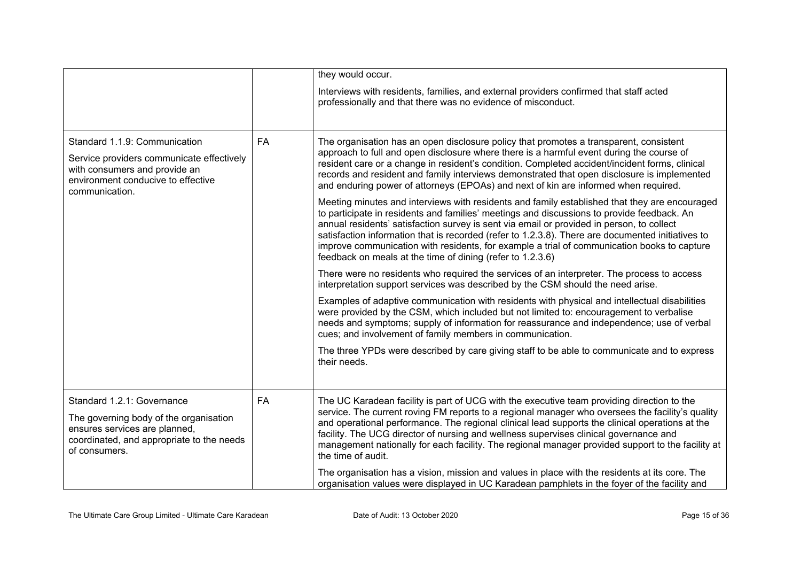|                                                                                                                                                                     |           | they would occur.                                                                                                                                                                                                                                                                                                                                                                                                                                                                                                                                                                                                                                                                                                                                                                                                                                                                                                                                                                                                                                                                                                                                                                                                                                                                                                                                                                                                                                                                                                                                                                                                                                                                              |
|---------------------------------------------------------------------------------------------------------------------------------------------------------------------|-----------|------------------------------------------------------------------------------------------------------------------------------------------------------------------------------------------------------------------------------------------------------------------------------------------------------------------------------------------------------------------------------------------------------------------------------------------------------------------------------------------------------------------------------------------------------------------------------------------------------------------------------------------------------------------------------------------------------------------------------------------------------------------------------------------------------------------------------------------------------------------------------------------------------------------------------------------------------------------------------------------------------------------------------------------------------------------------------------------------------------------------------------------------------------------------------------------------------------------------------------------------------------------------------------------------------------------------------------------------------------------------------------------------------------------------------------------------------------------------------------------------------------------------------------------------------------------------------------------------------------------------------------------------------------------------------------------------|
|                                                                                                                                                                     |           | Interviews with residents, families, and external providers confirmed that staff acted<br>professionally and that there was no evidence of misconduct.                                                                                                                                                                                                                                                                                                                                                                                                                                                                                                                                                                                                                                                                                                                                                                                                                                                                                                                                                                                                                                                                                                                                                                                                                                                                                                                                                                                                                                                                                                                                         |
| Standard 1.1.9: Communication<br>Service providers communicate effectively<br>with consumers and provide an<br>environment conducive to effective<br>communication. | <b>FA</b> | The organisation has an open disclosure policy that promotes a transparent, consistent<br>approach to full and open disclosure where there is a harmful event during the course of<br>resident care or a change in resident's condition. Completed accident/incident forms, clinical<br>records and resident and family interviews demonstrated that open disclosure is implemented<br>and enduring power of attorneys (EPOAs) and next of kin are informed when required.<br>Meeting minutes and interviews with residents and family established that they are encouraged<br>to participate in residents and families' meetings and discussions to provide feedback. An<br>annual residents' satisfaction survey is sent via email or provided in person, to collect<br>satisfaction information that is recorded (refer to 1.2.3.8). There are documented initiatives to<br>improve communication with residents, for example a trial of communication books to capture<br>feedback on meals at the time of dining (refer to 1.2.3.6)<br>There were no residents who required the services of an interpreter. The process to access<br>interpretation support services was described by the CSM should the need arise.<br>Examples of adaptive communication with residents with physical and intellectual disabilities<br>were provided by the CSM, which included but not limited to: encouragement to verbalise<br>needs and symptoms; supply of information for reassurance and independence; use of verbal<br>cues; and involvement of family members in communication.<br>The three YPDs were described by care giving staff to be able to communicate and to express<br>their needs. |
| Standard 1.2.1: Governance<br>The governing body of the organisation<br>ensures services are planned,<br>coordinated, and appropriate to the needs<br>of consumers. | <b>FA</b> | The UC Karadean facility is part of UCG with the executive team providing direction to the<br>service. The current roving FM reports to a regional manager who oversees the facility's quality<br>and operational performance. The regional clinical lead supports the clinical operations at the<br>facility. The UCG director of nursing and wellness supervises clinical governance and<br>management nationally for each facility. The regional manager provided support to the facility at<br>the time of audit.<br>The organisation has a vision, mission and values in place with the residents at its core. The<br>organisation values were displayed in UC Karadean pamphlets in the foyer of the facility and                                                                                                                                                                                                                                                                                                                                                                                                                                                                                                                                                                                                                                                                                                                                                                                                                                                                                                                                                                        |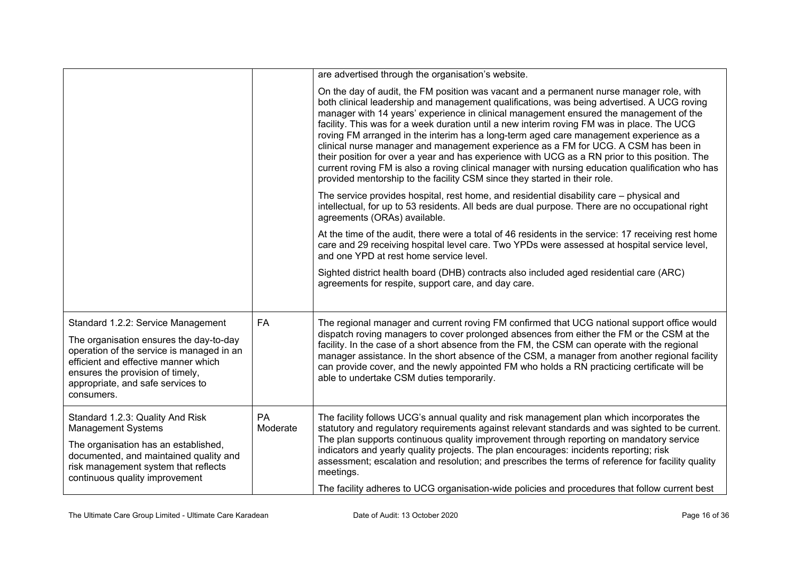|                                                                                                                                                                                                                                                           |                | are advertised through the organisation's website.                                                                                                                                                                                                                                                                                                                                                                                                                                                                                                                                                                                                                                                                                                                                                                                                 |
|-----------------------------------------------------------------------------------------------------------------------------------------------------------------------------------------------------------------------------------------------------------|----------------|----------------------------------------------------------------------------------------------------------------------------------------------------------------------------------------------------------------------------------------------------------------------------------------------------------------------------------------------------------------------------------------------------------------------------------------------------------------------------------------------------------------------------------------------------------------------------------------------------------------------------------------------------------------------------------------------------------------------------------------------------------------------------------------------------------------------------------------------------|
|                                                                                                                                                                                                                                                           |                | On the day of audit, the FM position was vacant and a permanent nurse manager role, with<br>both clinical leadership and management qualifications, was being advertised. A UCG roving<br>manager with 14 years' experience in clinical management ensured the management of the<br>facility. This was for a week duration until a new interim roving FM was in place. The UCG<br>roving FM arranged in the interim has a long-term aged care management experience as a<br>clinical nurse manager and management experience as a FM for UCG. A CSM has been in<br>their position for over a year and has experience with UCG as a RN prior to this position. The<br>current roving FM is also a roving clinical manager with nursing education qualification who has<br>provided mentorship to the facility CSM since they started in their role. |
|                                                                                                                                                                                                                                                           |                | The service provides hospital, rest home, and residential disability care – physical and<br>intellectual, for up to 53 residents. All beds are dual purpose. There are no occupational right<br>agreements (ORAs) available.                                                                                                                                                                                                                                                                                                                                                                                                                                                                                                                                                                                                                       |
|                                                                                                                                                                                                                                                           |                | At the time of the audit, there were a total of 46 residents in the service: 17 receiving rest home<br>care and 29 receiving hospital level care. Two YPDs were assessed at hospital service level,<br>and one YPD at rest home service level.                                                                                                                                                                                                                                                                                                                                                                                                                                                                                                                                                                                                     |
|                                                                                                                                                                                                                                                           |                | Sighted district health board (DHB) contracts also included aged residential care (ARC)<br>agreements for respite, support care, and day care.                                                                                                                                                                                                                                                                                                                                                                                                                                                                                                                                                                                                                                                                                                     |
| Standard 1.2.2: Service Management<br>The organisation ensures the day-to-day<br>operation of the service is managed in an<br>efficient and effective manner which<br>ensures the provision of timely,<br>appropriate, and safe services to<br>consumers. | <b>FA</b>      | The regional manager and current roving FM confirmed that UCG national support office would<br>dispatch roving managers to cover prolonged absences from either the FM or the CSM at the<br>facility. In the case of a short absence from the FM, the CSM can operate with the regional<br>manager assistance. In the short absence of the CSM, a manager from another regional facility<br>can provide cover, and the newly appointed FM who holds a RN practicing certificate will be<br>able to undertake CSM duties temporarily.                                                                                                                                                                                                                                                                                                               |
| Standard 1.2.3: Quality And Risk<br><b>Management Systems</b><br>The organisation has an established,<br>documented, and maintained quality and<br>risk management system that reflects<br>continuous quality improvement                                 | PA<br>Moderate | The facility follows UCG's annual quality and risk management plan which incorporates the<br>statutory and regulatory requirements against relevant standards and was sighted to be current.<br>The plan supports continuous quality improvement through reporting on mandatory service<br>indicators and yearly quality projects. The plan encourages: incidents reporting; risk<br>assessment; escalation and resolution; and prescribes the terms of reference for facility quality<br>meetings.                                                                                                                                                                                                                                                                                                                                                |
|                                                                                                                                                                                                                                                           |                | The facility adheres to UCG organisation-wide policies and procedures that follow current best                                                                                                                                                                                                                                                                                                                                                                                                                                                                                                                                                                                                                                                                                                                                                     |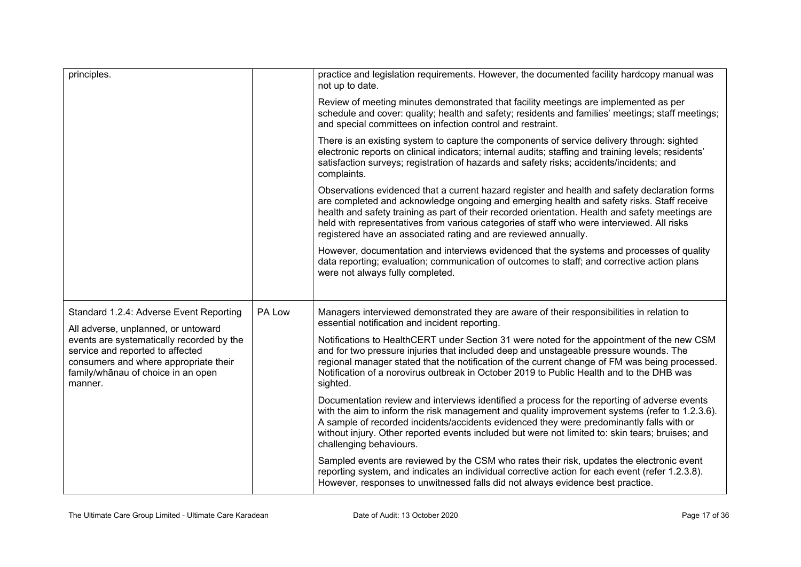| principles.                                                                                                                                                             |        | practice and legislation requirements. However, the documented facility hardcopy manual was<br>not up to date.                                                                                                                                                                                                                                                                                                                                                  |
|-------------------------------------------------------------------------------------------------------------------------------------------------------------------------|--------|-----------------------------------------------------------------------------------------------------------------------------------------------------------------------------------------------------------------------------------------------------------------------------------------------------------------------------------------------------------------------------------------------------------------------------------------------------------------|
|                                                                                                                                                                         |        | Review of meeting minutes demonstrated that facility meetings are implemented as per<br>schedule and cover: quality; health and safety; residents and families' meetings; staff meetings;<br>and special committees on infection control and restraint.                                                                                                                                                                                                         |
|                                                                                                                                                                         |        | There is an existing system to capture the components of service delivery through: sighted<br>electronic reports on clinical indicators; internal audits; staffing and training levels; residents'<br>satisfaction surveys; registration of hazards and safety risks; accidents/incidents; and<br>complaints.                                                                                                                                                   |
|                                                                                                                                                                         |        | Observations evidenced that a current hazard register and health and safety declaration forms<br>are completed and acknowledge ongoing and emerging health and safety risks. Staff receive<br>health and safety training as part of their recorded orientation. Health and safety meetings are<br>held with representatives from various categories of staff who were interviewed. All risks<br>registered have an associated rating and are reviewed annually. |
|                                                                                                                                                                         |        | However, documentation and interviews evidenced that the systems and processes of quality<br>data reporting; evaluation; communication of outcomes to staff; and corrective action plans<br>were not always fully completed.                                                                                                                                                                                                                                    |
| Standard 1.2.4: Adverse Event Reporting<br>All adverse, unplanned, or untoward                                                                                          | PA Low | Managers interviewed demonstrated they are aware of their responsibilities in relation to<br>essential notification and incident reporting.                                                                                                                                                                                                                                                                                                                     |
| events are systematically recorded by the<br>service and reported to affected<br>consumers and where appropriate their<br>family/whānau of choice in an open<br>manner. |        | Notifications to HealthCERT under Section 31 were noted for the appointment of the new CSM<br>and for two pressure injuries that included deep and unstageable pressure wounds. The<br>regional manager stated that the notification of the current change of FM was being processed.<br>Notification of a norovirus outbreak in October 2019 to Public Health and to the DHB was<br>sighted.                                                                   |
|                                                                                                                                                                         |        | Documentation review and interviews identified a process for the reporting of adverse events<br>with the aim to inform the risk management and quality improvement systems (refer to 1.2.3.6).<br>A sample of recorded incidents/accidents evidenced they were predominantly falls with or<br>without injury. Other reported events included but were not limited to: skin tears; bruises; and<br>challenging behaviours.                                       |
|                                                                                                                                                                         |        | Sampled events are reviewed by the CSM who rates their risk, updates the electronic event<br>reporting system, and indicates an individual corrective action for each event (refer 1.2.3.8).<br>However, responses to unwitnessed falls did not always evidence best practice.                                                                                                                                                                                  |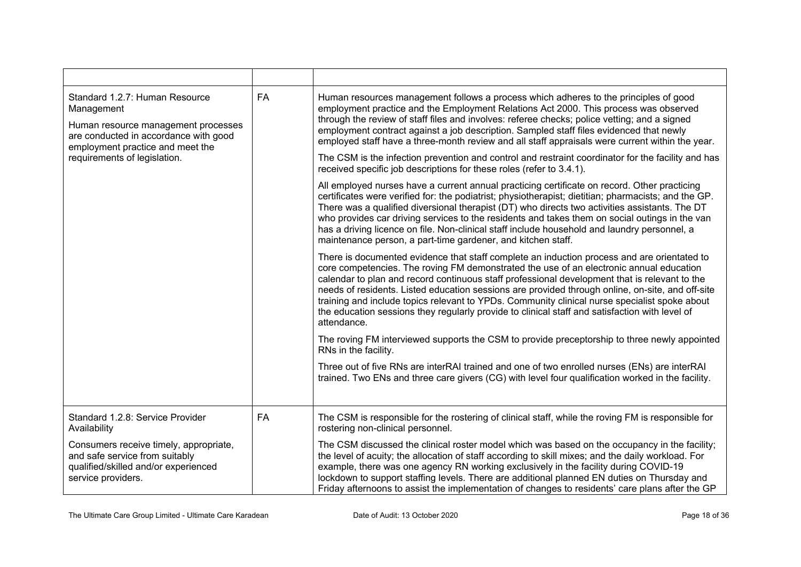| Standard 1.2.7: Human Resource<br>Management<br>Human resource management processes<br>are conducted in accordance with good<br>employment practice and meet the | FA | Human resources management follows a process which adheres to the principles of good<br>employment practice and the Employment Relations Act 2000. This process was observed<br>through the review of staff files and involves: referee checks; police vetting; and a signed<br>employment contract against a job description. Sampled staff files evidenced that newly<br>employed staff have a three-month review and all staff appraisals were current within the year.                                                                                                                                    |
|------------------------------------------------------------------------------------------------------------------------------------------------------------------|----|---------------------------------------------------------------------------------------------------------------------------------------------------------------------------------------------------------------------------------------------------------------------------------------------------------------------------------------------------------------------------------------------------------------------------------------------------------------------------------------------------------------------------------------------------------------------------------------------------------------|
| requirements of legislation.                                                                                                                                     |    | The CSM is the infection prevention and control and restraint coordinator for the facility and has<br>received specific job descriptions for these roles (refer to 3.4.1).                                                                                                                                                                                                                                                                                                                                                                                                                                    |
|                                                                                                                                                                  |    | All employed nurses have a current annual practicing certificate on record. Other practicing<br>certificates were verified for: the podiatrist; physiotherapist; dietitian; pharmacists; and the GP.<br>There was a qualified diversional therapist (DT) who directs two activities assistants. The DT<br>who provides car driving services to the residents and takes them on social outings in the van<br>has a driving licence on file. Non-clinical staff include household and laundry personnel, a<br>maintenance person, a part-time gardener, and kitchen staff.                                      |
|                                                                                                                                                                  |    | There is documented evidence that staff complete an induction process and are orientated to<br>core competencies. The roving FM demonstrated the use of an electronic annual education<br>calendar to plan and record continuous staff professional development that is relevant to the<br>needs of residents. Listed education sessions are provided through online, on-site, and off-site<br>training and include topics relevant to YPDs. Community clinical nurse specialist spoke about<br>the education sessions they regularly provide to clinical staff and satisfaction with level of<br>attendance. |
|                                                                                                                                                                  |    | The roving FM interviewed supports the CSM to provide preceptorship to three newly appointed<br>RNs in the facility.                                                                                                                                                                                                                                                                                                                                                                                                                                                                                          |
|                                                                                                                                                                  |    | Three out of five RNs are interRAI trained and one of two enrolled nurses (ENs) are interRAI<br>trained. Two ENs and three care givers (CG) with level four qualification worked in the facility.                                                                                                                                                                                                                                                                                                                                                                                                             |
| Standard 1.2.8: Service Provider<br>Availability                                                                                                                 | FA | The CSM is responsible for the rostering of clinical staff, while the roving FM is responsible for<br>rostering non-clinical personnel.                                                                                                                                                                                                                                                                                                                                                                                                                                                                       |
| Consumers receive timely, appropriate,<br>and safe service from suitably<br>qualified/skilled and/or experienced<br>service providers.                           |    | The CSM discussed the clinical roster model which was based on the occupancy in the facility;<br>the level of acuity; the allocation of staff according to skill mixes; and the daily workload. For<br>example, there was one agency RN working exclusively in the facility during COVID-19<br>lockdown to support staffing levels. There are additional planned EN duties on Thursday and<br>Friday afternoons to assist the implementation of changes to residents' care plans after the GP                                                                                                                 |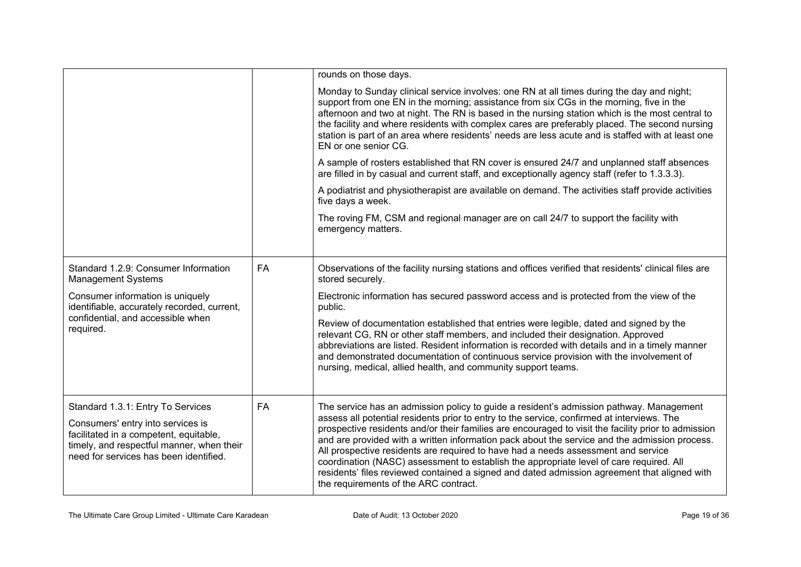|                                                                                                                                                                                                         |           | rounds on those days.                                                                                                                                                                                                                                                                                                                                                                                                                                                                                                                                                                                                                                                                                                  |
|---------------------------------------------------------------------------------------------------------------------------------------------------------------------------------------------------------|-----------|------------------------------------------------------------------------------------------------------------------------------------------------------------------------------------------------------------------------------------------------------------------------------------------------------------------------------------------------------------------------------------------------------------------------------------------------------------------------------------------------------------------------------------------------------------------------------------------------------------------------------------------------------------------------------------------------------------------------|
|                                                                                                                                                                                                         |           | Monday to Sunday clinical service involves: one RN at all times during the day and night;<br>support from one EN in the morning; assistance from six CGs in the morning, five in the<br>afternoon and two at night. The RN is based in the nursing station which is the most central to<br>the facility and where residents with complex cares are preferably placed. The second nursing<br>station is part of an area where residents' needs are less acute and is staffed with at least one<br>EN or one senior CG.                                                                                                                                                                                                  |
|                                                                                                                                                                                                         |           | A sample of rosters established that RN cover is ensured 24/7 and unplanned staff absences<br>are filled in by casual and current staff, and exceptionally agency staff (refer to 1.3.3.3).                                                                                                                                                                                                                                                                                                                                                                                                                                                                                                                            |
|                                                                                                                                                                                                         |           | A podiatrist and physiotherapist are available on demand. The activities staff provide activities<br>five days a week.                                                                                                                                                                                                                                                                                                                                                                                                                                                                                                                                                                                                 |
|                                                                                                                                                                                                         |           | The roving FM, CSM and regional manager are on call 24/7 to support the facility with<br>emergency matters.                                                                                                                                                                                                                                                                                                                                                                                                                                                                                                                                                                                                            |
| Standard 1.2.9: Consumer Information<br><b>Management Systems</b>                                                                                                                                       | <b>FA</b> | Observations of the facility nursing stations and offices verified that residents' clinical files are<br>stored securely.                                                                                                                                                                                                                                                                                                                                                                                                                                                                                                                                                                                              |
| Consumer information is uniquely<br>identifiable, accurately recorded, current,                                                                                                                         |           | Electronic information has secured password access and is protected from the view of the<br>public.                                                                                                                                                                                                                                                                                                                                                                                                                                                                                                                                                                                                                    |
| confidential, and accessible when<br>required.                                                                                                                                                          |           | Review of documentation established that entries were legible, dated and signed by the<br>relevant CG, RN or other staff members, and included their designation. Approved<br>abbreviations are listed. Resident information is recorded with details and in a timely manner<br>and demonstrated documentation of continuous service provision with the involvement of<br>nursing, medical, allied health, and community support teams.                                                                                                                                                                                                                                                                                |
| Standard 1.3.1: Entry To Services<br>Consumers' entry into services is<br>facilitated in a competent, equitable,<br>timely, and respectful manner, when their<br>need for services has been identified. | FA        | The service has an admission policy to guide a resident's admission pathway. Management<br>assess all potential residents prior to entry to the service, confirmed at interviews. The<br>prospective residents and/or their families are encouraged to visit the facility prior to admission<br>and are provided with a written information pack about the service and the admission process.<br>All prospective residents are required to have had a needs assessment and service<br>coordination (NASC) assessment to establish the appropriate level of care required. All<br>residents' files reviewed contained a signed and dated admission agreement that aligned with<br>the requirements of the ARC contract. |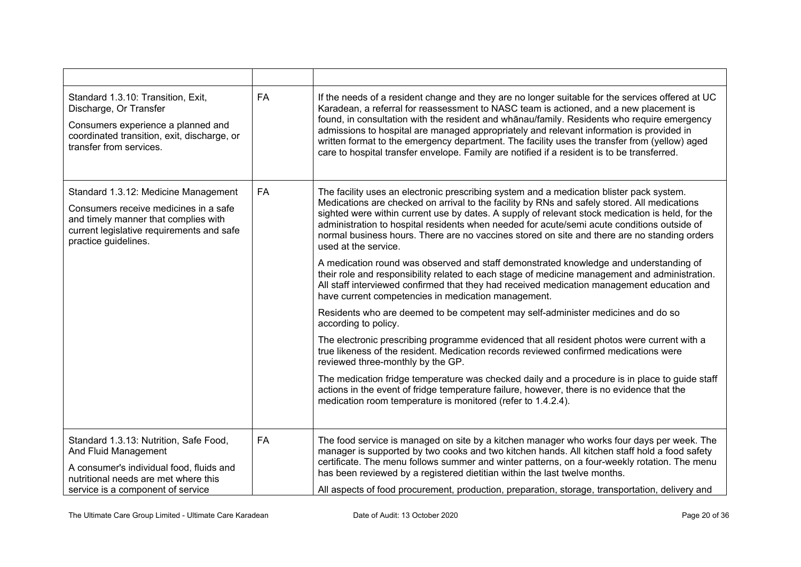| Standard 1.3.10: Transition, Exit,<br>Discharge, Or Transfer<br>Consumers experience a planned and<br>coordinated transition, exit, discharge, or<br>transfer from services.               | <b>FA</b> | If the needs of a resident change and they are no longer suitable for the services offered at UC<br>Karadean, a referral for reassessment to NASC team is actioned, and a new placement is<br>found, in consultation with the resident and whānau/family. Residents who require emergency<br>admissions to hospital are managed appropriately and relevant information is provided in<br>written format to the emergency department. The facility uses the transfer from (yellow) aged<br>care to hospital transfer envelope. Family are notified if a resident is to be transferred.                                                                                                                                                                                                                                                                                                                                                                                                                                                                                                                                                                                                                                                                                                                                                                                                                                                                                        |
|--------------------------------------------------------------------------------------------------------------------------------------------------------------------------------------------|-----------|------------------------------------------------------------------------------------------------------------------------------------------------------------------------------------------------------------------------------------------------------------------------------------------------------------------------------------------------------------------------------------------------------------------------------------------------------------------------------------------------------------------------------------------------------------------------------------------------------------------------------------------------------------------------------------------------------------------------------------------------------------------------------------------------------------------------------------------------------------------------------------------------------------------------------------------------------------------------------------------------------------------------------------------------------------------------------------------------------------------------------------------------------------------------------------------------------------------------------------------------------------------------------------------------------------------------------------------------------------------------------------------------------------------------------------------------------------------------------|
| Standard 1.3.12: Medicine Management<br>Consumers receive medicines in a safe<br>and timely manner that complies with<br>current legislative requirements and safe<br>practice guidelines. | <b>FA</b> | The facility uses an electronic prescribing system and a medication blister pack system.<br>Medications are checked on arrival to the facility by RNs and safely stored. All medications<br>sighted were within current use by dates. A supply of relevant stock medication is held, for the<br>administration to hospital residents when needed for acute/semi acute conditions outside of<br>normal business hours. There are no vaccines stored on site and there are no standing orders<br>used at the service.<br>A medication round was observed and staff demonstrated knowledge and understanding of<br>their role and responsibility related to each stage of medicine management and administration.<br>All staff interviewed confirmed that they had received medication management education and<br>have current competencies in medication management.<br>Residents who are deemed to be competent may self-administer medicines and do so<br>according to policy.<br>The electronic prescribing programme evidenced that all resident photos were current with a<br>true likeness of the resident. Medication records reviewed confirmed medications were<br>reviewed three-monthly by the GP.<br>The medication fridge temperature was checked daily and a procedure is in place to quide staff<br>actions in the event of fridge temperature failure, however, there is no evidence that the<br>medication room temperature is monitored (refer to 1.4.2.4). |
| Standard 1.3.13: Nutrition, Safe Food,<br>And Fluid Management<br>A consumer's individual food, fluids and<br>nutritional needs are met where this<br>service is a component of service    | FA        | The food service is managed on site by a kitchen manager who works four days per week. The<br>manager is supported by two cooks and two kitchen hands. All kitchen staff hold a food safety<br>certificate. The menu follows summer and winter patterns, on a four-weekly rotation. The menu<br>has been reviewed by a registered dietitian within the last twelve months.<br>All aspects of food procurement, production, preparation, storage, transportation, delivery and                                                                                                                                                                                                                                                                                                                                                                                                                                                                                                                                                                                                                                                                                                                                                                                                                                                                                                                                                                                                |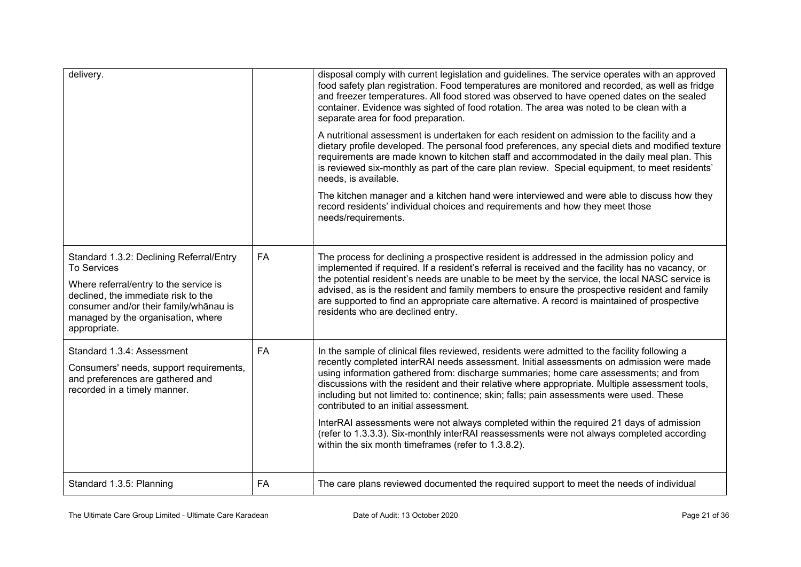| delivery.                                                                                                                                                                                                                                       |           | disposal comply with current legislation and guidelines. The service operates with an approved<br>food safety plan registration. Food temperatures are monitored and recorded, as well as fridge<br>and freezer temperatures. All food stored was observed to have opened dates on the sealed<br>container. Evidence was sighted of food rotation. The area was noted to be clean with a<br>separate area for food preparation.<br>A nutritional assessment is undertaken for each resident on admission to the facility and a<br>dietary profile developed. The personal food preferences, any special diets and modified texture<br>requirements are made known to kitchen staff and accommodated in the daily meal plan. This<br>is reviewed six-monthly as part of the care plan review. Special equipment, to meet residents'<br>needs, is available.<br>The kitchen manager and a kitchen hand were interviewed and were able to discuss how they<br>record residents' individual choices and requirements and how they meet those<br>needs/requirements. |
|-------------------------------------------------------------------------------------------------------------------------------------------------------------------------------------------------------------------------------------------------|-----------|-----------------------------------------------------------------------------------------------------------------------------------------------------------------------------------------------------------------------------------------------------------------------------------------------------------------------------------------------------------------------------------------------------------------------------------------------------------------------------------------------------------------------------------------------------------------------------------------------------------------------------------------------------------------------------------------------------------------------------------------------------------------------------------------------------------------------------------------------------------------------------------------------------------------------------------------------------------------------------------------------------------------------------------------------------------------|
| Standard 1.3.2: Declining Referral/Entry<br><b>To Services</b><br>Where referral/entry to the service is<br>declined, the immediate risk to the<br>consumer and/or their family/whānau is<br>managed by the organisation, where<br>appropriate. | <b>FA</b> | The process for declining a prospective resident is addressed in the admission policy and<br>implemented if required. If a resident's referral is received and the facility has no vacancy, or<br>the potential resident's needs are unable to be meet by the service, the local NASC service is<br>advised, as is the resident and family members to ensure the prospective resident and family<br>are supported to find an appropriate care alternative. A record is maintained of prospective<br>residents who are declined entry.                                                                                                                                                                                                                                                                                                                                                                                                                                                                                                                           |
| Standard 1.3.4: Assessment<br>Consumers' needs, support requirements,<br>and preferences are gathered and<br>recorded in a timely manner.                                                                                                       | <b>FA</b> | In the sample of clinical files reviewed, residents were admitted to the facility following a<br>recently completed interRAI needs assessment. Initial assessments on admission were made<br>using information gathered from: discharge summaries; home care assessments; and from<br>discussions with the resident and their relative where appropriate. Multiple assessment tools,<br>including but not limited to: continence; skin; falls; pain assessments were used. These<br>contributed to an initial assessment.<br>InterRAI assessments were not always completed within the required 21 days of admission<br>(refer to 1.3.3.3). Six-monthly interRAI reassessments were not always completed according<br>within the six month timeframes (refer to 1.3.8.2).                                                                                                                                                                                                                                                                                       |
| Standard 1.3.5: Planning                                                                                                                                                                                                                        | <b>FA</b> | The care plans reviewed documented the required support to meet the needs of individual                                                                                                                                                                                                                                                                                                                                                                                                                                                                                                                                                                                                                                                                                                                                                                                                                                                                                                                                                                         |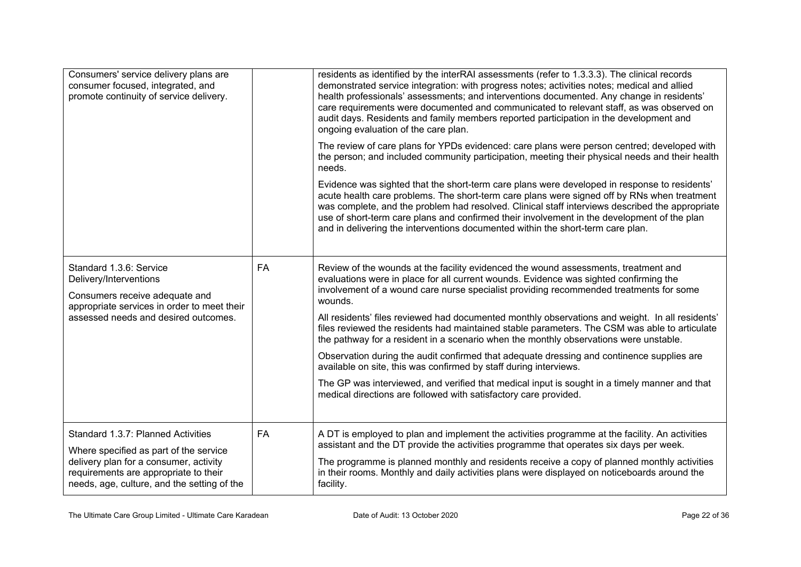| Consumers' service delivery plans are<br>consumer focused, integrated, and<br>promote continuity of service delivery.                                                      |           | residents as identified by the interRAI assessments (refer to 1.3.3.3). The clinical records<br>demonstrated service integration: with progress notes; activities notes; medical and allied<br>health professionals' assessments; and interventions documented. Any change in residents'<br>care requirements were documented and communicated to relevant staff, as was observed on<br>audit days. Residents and family members reported participation in the development and<br>ongoing evaluation of the care plan. |
|----------------------------------------------------------------------------------------------------------------------------------------------------------------------------|-----------|------------------------------------------------------------------------------------------------------------------------------------------------------------------------------------------------------------------------------------------------------------------------------------------------------------------------------------------------------------------------------------------------------------------------------------------------------------------------------------------------------------------------|
|                                                                                                                                                                            |           | The review of care plans for YPDs evidenced: care plans were person centred; developed with<br>the person; and included community participation, meeting their physical needs and their health<br>needs.                                                                                                                                                                                                                                                                                                               |
|                                                                                                                                                                            |           | Evidence was sighted that the short-term care plans were developed in response to residents'<br>acute health care problems. The short-term care plans were signed off by RNs when treatment<br>was complete, and the problem had resolved. Clinical staff interviews described the appropriate<br>use of short-term care plans and confirmed their involvement in the development of the plan<br>and in delivering the interventions documented within the short-term care plan.                                       |
| Standard 1.3.6: Service<br>Delivery/Interventions<br>Consumers receive adequate and<br>appropriate services in order to meet their<br>assessed needs and desired outcomes. | <b>FA</b> | Review of the wounds at the facility evidenced the wound assessments, treatment and<br>evaluations were in place for all current wounds. Evidence was sighted confirming the<br>involvement of a wound care nurse specialist providing recommended treatments for some<br>wounds.<br>All residents' files reviewed had documented monthly observations and weight. In all residents'                                                                                                                                   |
|                                                                                                                                                                            |           | files reviewed the residents had maintained stable parameters. The CSM was able to articulate<br>the pathway for a resident in a scenario when the monthly observations were unstable.                                                                                                                                                                                                                                                                                                                                 |
|                                                                                                                                                                            |           | Observation during the audit confirmed that adequate dressing and continence supplies are<br>available on site, this was confirmed by staff during interviews.                                                                                                                                                                                                                                                                                                                                                         |
|                                                                                                                                                                            |           | The GP was interviewed, and verified that medical input is sought in a timely manner and that<br>medical directions are followed with satisfactory care provided.                                                                                                                                                                                                                                                                                                                                                      |
| Standard 1.3.7: Planned Activities                                                                                                                                         | FA        | A DT is employed to plan and implement the activities programme at the facility. An activities<br>assistant and the DT provide the activities programme that operates six days per week.                                                                                                                                                                                                                                                                                                                               |
| Where specified as part of the service<br>delivery plan for a consumer, activity<br>requirements are appropriate to their<br>needs, age, culture, and the setting of the   |           | The programme is planned monthly and residents receive a copy of planned monthly activities<br>in their rooms. Monthly and daily activities plans were displayed on noticeboards around the<br>facility.                                                                                                                                                                                                                                                                                                               |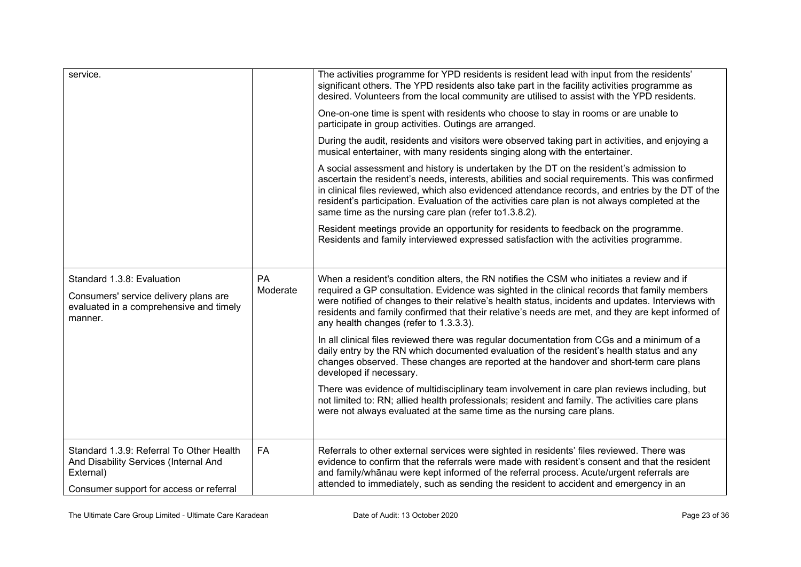| service.                                                                                                                                  |                | The activities programme for YPD residents is resident lead with input from the residents'<br>significant others. The YPD residents also take part in the facility activities programme as<br>desired. Volunteers from the local community are utilised to assist with the YPD residents.<br>One-on-one time is spent with residents who choose to stay in rooms or are unable to<br>participate in group activities. Outings are arranged.<br>During the audit, residents and visitors were observed taking part in activities, and enjoying a<br>musical entertainer, with many residents singing along with the entertainer.<br>A social assessment and history is undertaken by the DT on the resident's admission to<br>ascertain the resident's needs, interests, abilities and social requirements. This was confirmed<br>in clinical files reviewed, which also evidenced attendance records, and entries by the DT of the<br>resident's participation. Evaluation of the activities care plan is not always completed at the<br>same time as the nursing care plan (refer to 1.3.8.2).<br>Resident meetings provide an opportunity for residents to feedback on the programme.<br>Residents and family interviewed expressed satisfaction with the activities programme. |
|-------------------------------------------------------------------------------------------------------------------------------------------|----------------|-----------------------------------------------------------------------------------------------------------------------------------------------------------------------------------------------------------------------------------------------------------------------------------------------------------------------------------------------------------------------------------------------------------------------------------------------------------------------------------------------------------------------------------------------------------------------------------------------------------------------------------------------------------------------------------------------------------------------------------------------------------------------------------------------------------------------------------------------------------------------------------------------------------------------------------------------------------------------------------------------------------------------------------------------------------------------------------------------------------------------------------------------------------------------------------------------------------------------------------------------------------------------------------|
|                                                                                                                                           |                |                                                                                                                                                                                                                                                                                                                                                                                                                                                                                                                                                                                                                                                                                                                                                                                                                                                                                                                                                                                                                                                                                                                                                                                                                                                                                   |
| Standard 1.3.8: Evaluation<br>Consumers' service delivery plans are<br>evaluated in a comprehensive and timely<br>manner.                 | PA<br>Moderate | When a resident's condition alters, the RN notifies the CSM who initiates a review and if<br>required a GP consultation. Evidence was sighted in the clinical records that family members<br>were notified of changes to their relative's health status, incidents and updates. Interviews with<br>residents and family confirmed that their relative's needs are met, and they are kept informed of<br>any health changes (refer to 1.3.3.3).                                                                                                                                                                                                                                                                                                                                                                                                                                                                                                                                                                                                                                                                                                                                                                                                                                    |
|                                                                                                                                           |                | In all clinical files reviewed there was regular documentation from CGs and a minimum of a<br>daily entry by the RN which documented evaluation of the resident's health status and any<br>changes observed. These changes are reported at the handover and short-term care plans<br>developed if necessary.                                                                                                                                                                                                                                                                                                                                                                                                                                                                                                                                                                                                                                                                                                                                                                                                                                                                                                                                                                      |
|                                                                                                                                           |                | There was evidence of multidisciplinary team involvement in care plan reviews including, but<br>not limited to: RN; allied health professionals; resident and family. The activities care plans<br>were not always evaluated at the same time as the nursing care plans.                                                                                                                                                                                                                                                                                                                                                                                                                                                                                                                                                                                                                                                                                                                                                                                                                                                                                                                                                                                                          |
| Standard 1.3.9: Referral To Other Health<br>And Disability Services (Internal And<br>External)<br>Consumer support for access or referral | <b>FA</b>      | Referrals to other external services were sighted in residents' files reviewed. There was<br>evidence to confirm that the referrals were made with resident's consent and that the resident<br>and family/whanau were kept informed of the referral process. Acute/urgent referrals are<br>attended to immediately, such as sending the resident to accident and emergency in an                                                                                                                                                                                                                                                                                                                                                                                                                                                                                                                                                                                                                                                                                                                                                                                                                                                                                                  |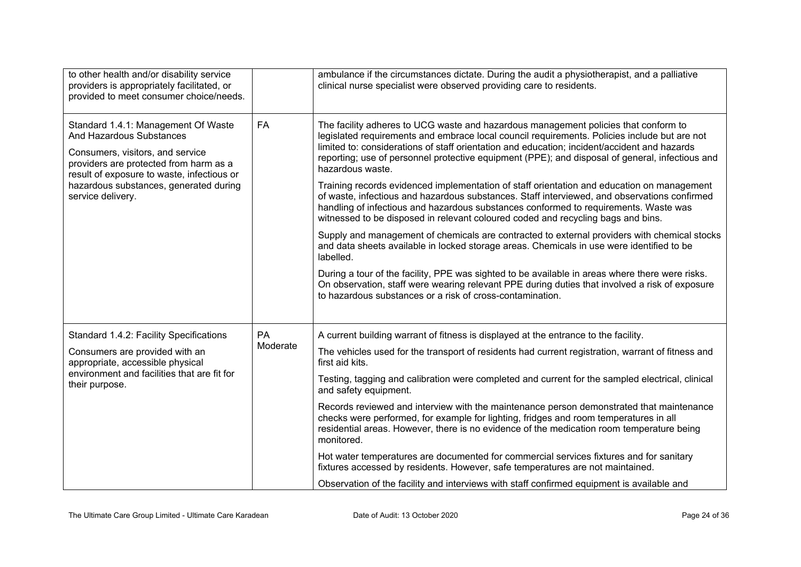| to other health and/or disability service<br>providers is appropriately facilitated, or<br>provided to meet consumer choice/needs.                                                                                                                         |                | ambulance if the circumstances dictate. During the audit a physiotherapist, and a palliative<br>clinical nurse specialist were observed providing care to residents.                                                                                                                                                                                                                                                                                                                                                                                                                                                                                                                                                                                                                                                                                                                                                                                                                                                                                                                                                                                                                                                                                             |
|------------------------------------------------------------------------------------------------------------------------------------------------------------------------------------------------------------------------------------------------------------|----------------|------------------------------------------------------------------------------------------------------------------------------------------------------------------------------------------------------------------------------------------------------------------------------------------------------------------------------------------------------------------------------------------------------------------------------------------------------------------------------------------------------------------------------------------------------------------------------------------------------------------------------------------------------------------------------------------------------------------------------------------------------------------------------------------------------------------------------------------------------------------------------------------------------------------------------------------------------------------------------------------------------------------------------------------------------------------------------------------------------------------------------------------------------------------------------------------------------------------------------------------------------------------|
| Standard 1.4.1: Management Of Waste<br>And Hazardous Substances<br>Consumers, visitors, and service<br>providers are protected from harm as a<br>result of exposure to waste, infectious or<br>hazardous substances, generated during<br>service delivery. | <b>FA</b>      | The facility adheres to UCG waste and hazardous management policies that conform to<br>legislated requirements and embrace local council requirements. Policies include but are not<br>limited to: considerations of staff orientation and education; incident/accident and hazards<br>reporting; use of personnel protective equipment (PPE); and disposal of general, infectious and<br>hazardous waste.<br>Training records evidenced implementation of staff orientation and education on management<br>of waste, infectious and hazardous substances. Staff interviewed, and observations confirmed<br>handling of infectious and hazardous substances conformed to requirements. Waste was<br>witnessed to be disposed in relevant coloured coded and recycling bags and bins.<br>Supply and management of chemicals are contracted to external providers with chemical stocks<br>and data sheets available in locked storage areas. Chemicals in use were identified to be<br>labelled.<br>During a tour of the facility, PPE was sighted to be available in areas where there were risks.<br>On observation, staff were wearing relevant PPE during duties that involved a risk of exposure<br>to hazardous substances or a risk of cross-contamination. |
| Standard 1.4.2: Facility Specifications<br>Consumers are provided with an<br>appropriate, accessible physical<br>environment and facilities that are fit for<br>their purpose.                                                                             | PA<br>Moderate | A current building warrant of fitness is displayed at the entrance to the facility.<br>The vehicles used for the transport of residents had current registration, warrant of fitness and<br>first aid kits.<br>Testing, tagging and calibration were completed and current for the sampled electrical, clinical<br>and safety equipment.<br>Records reviewed and interview with the maintenance person demonstrated that maintenance<br>checks were performed, for example for lighting, fridges and room temperatures in all<br>residential areas. However, there is no evidence of the medication room temperature being<br>monitored.<br>Hot water temperatures are documented for commercial services fixtures and for sanitary<br>fixtures accessed by residents. However, safe temperatures are not maintained.<br>Observation of the facility and interviews with staff confirmed equipment is available and                                                                                                                                                                                                                                                                                                                                              |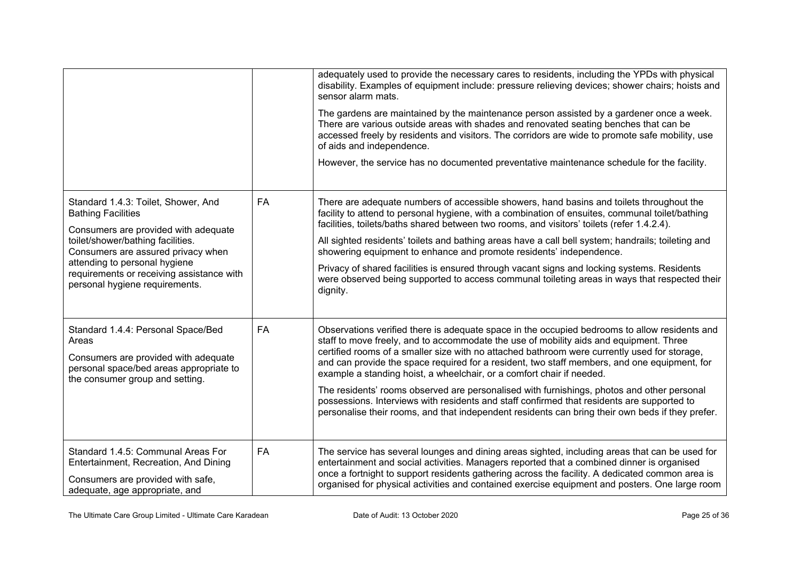|                                                                                                                                                                                                                                                                                                     |           | adequately used to provide the necessary cares to residents, including the YPDs with physical<br>disability. Examples of equipment include: pressure relieving devices; shower chairs; hoists and<br>sensor alarm mats.<br>The gardens are maintained by the maintenance person assisted by a gardener once a week.<br>There are various outside areas with shades and renovated seating benches that can be<br>accessed freely by residents and visitors. The corridors are wide to promote safe mobility, use<br>of aids and independence.<br>However, the service has no documented preventative maintenance schedule for the facility.                                                                                                                       |
|-----------------------------------------------------------------------------------------------------------------------------------------------------------------------------------------------------------------------------------------------------------------------------------------------------|-----------|------------------------------------------------------------------------------------------------------------------------------------------------------------------------------------------------------------------------------------------------------------------------------------------------------------------------------------------------------------------------------------------------------------------------------------------------------------------------------------------------------------------------------------------------------------------------------------------------------------------------------------------------------------------------------------------------------------------------------------------------------------------|
| Standard 1.4.3: Toilet, Shower, And<br><b>Bathing Facilities</b><br>Consumers are provided with adequate<br>toilet/shower/bathing facilities.<br>Consumers are assured privacy when<br>attending to personal hygiene<br>requirements or receiving assistance with<br>personal hygiene requirements. | <b>FA</b> | There are adequate numbers of accessible showers, hand basins and toilets throughout the<br>facility to attend to personal hygiene, with a combination of ensuites, communal toilet/bathing<br>facilities, toilets/baths shared between two rooms, and visitors' toilets (refer 1.4.2.4).<br>All sighted residents' toilets and bathing areas have a call bell system; handrails; toileting and<br>showering equipment to enhance and promote residents' independence.<br>Privacy of shared facilities is ensured through vacant signs and locking systems. Residents<br>were observed being supported to access communal toileting areas in ways that respected their<br>dignity.                                                                               |
| Standard 1.4.4: Personal Space/Bed<br>Areas<br>Consumers are provided with adequate<br>personal space/bed areas appropriate to<br>the consumer group and setting.                                                                                                                                   | FA        | Observations verified there is adequate space in the occupied bedrooms to allow residents and<br>staff to move freely, and to accommodate the use of mobility aids and equipment. Three<br>certified rooms of a smaller size with no attached bathroom were currently used for storage,<br>and can provide the space required for a resident, two staff members, and one equipment, for<br>example a standing hoist, a wheelchair, or a comfort chair if needed.<br>The residents' rooms observed are personalised with furnishings, photos and other personal<br>possessions. Interviews with residents and staff confirmed that residents are supported to<br>personalise their rooms, and that independent residents can bring their own beds if they prefer. |
| Standard 1.4.5: Communal Areas For<br>Entertainment, Recreation, And Dining<br>Consumers are provided with safe,<br>adequate, age appropriate, and                                                                                                                                                  | FA        | The service has several lounges and dining areas sighted, including areas that can be used for<br>entertainment and social activities. Managers reported that a combined dinner is organised<br>once a fortnight to support residents gathering across the facility. A dedicated common area is<br>organised for physical activities and contained exercise equipment and posters. One large room                                                                                                                                                                                                                                                                                                                                                                |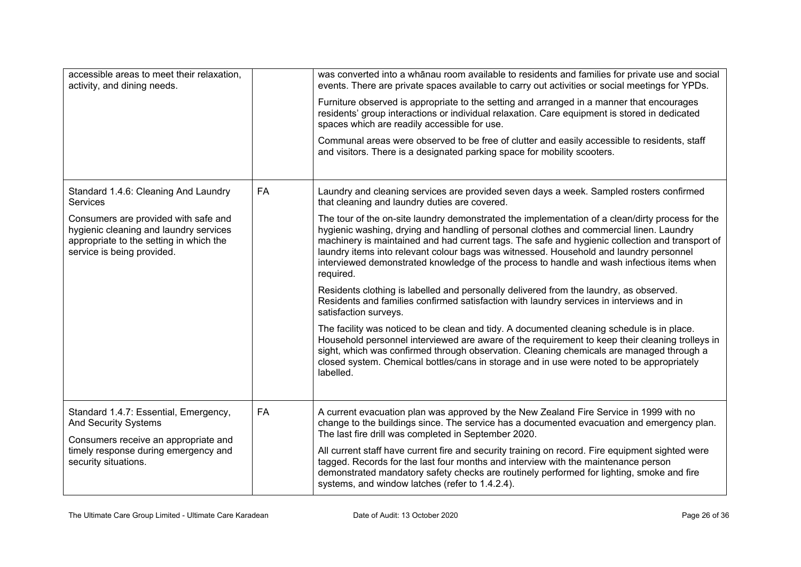| accessible areas to meet their relaxation,<br>activity, and dining needs.                                                                                                                                          |           | was converted into a whānau room available to residents and families for private use and social<br>events. There are private spaces available to carry out activities or social meetings for YPDs.<br>Furniture observed is appropriate to the setting and arranged in a manner that encourages<br>residents' group interactions or individual relaxation. Care equipment is stored in dedicated<br>spaces which are readily accessible for use.<br>Communal areas were observed to be free of clutter and easily accessible to residents, staff<br>and visitors. There is a designated parking space for mobility scooters.                                                                                                                                                                                                                                                                                                                                                                                                                                                                                                                                                                                                                                          |
|--------------------------------------------------------------------------------------------------------------------------------------------------------------------------------------------------------------------|-----------|-----------------------------------------------------------------------------------------------------------------------------------------------------------------------------------------------------------------------------------------------------------------------------------------------------------------------------------------------------------------------------------------------------------------------------------------------------------------------------------------------------------------------------------------------------------------------------------------------------------------------------------------------------------------------------------------------------------------------------------------------------------------------------------------------------------------------------------------------------------------------------------------------------------------------------------------------------------------------------------------------------------------------------------------------------------------------------------------------------------------------------------------------------------------------------------------------------------------------------------------------------------------------|
| Standard 1.4.6: Cleaning And Laundry<br><b>Services</b><br>Consumers are provided with safe and<br>hygienic cleaning and laundry services<br>appropriate to the setting in which the<br>service is being provided. | <b>FA</b> | Laundry and cleaning services are provided seven days a week. Sampled rosters confirmed<br>that cleaning and laundry duties are covered.<br>The tour of the on-site laundry demonstrated the implementation of a clean/dirty process for the<br>hygienic washing, drying and handling of personal clothes and commercial linen. Laundry<br>machinery is maintained and had current tags. The safe and hygienic collection and transport of<br>laundry items into relevant colour bags was witnessed. Household and laundry personnel<br>interviewed demonstrated knowledge of the process to handle and wash infectious items when<br>required.<br>Residents clothing is labelled and personally delivered from the laundry, as observed.<br>Residents and families confirmed satisfaction with laundry services in interviews and in<br>satisfaction surveys.<br>The facility was noticed to be clean and tidy. A documented cleaning schedule is in place.<br>Household personnel interviewed are aware of the requirement to keep their cleaning trolleys in<br>sight, which was confirmed through observation. Cleaning chemicals are managed through a<br>closed system. Chemical bottles/cans in storage and in use were noted to be appropriately<br>labelled. |
| Standard 1.4.7: Essential, Emergency,<br><b>And Security Systems</b><br>Consumers receive an appropriate and<br>timely response during emergency and<br>security situations.                                       | <b>FA</b> | A current evacuation plan was approved by the New Zealand Fire Service in 1999 with no<br>change to the buildings since. The service has a documented evacuation and emergency plan.<br>The last fire drill was completed in September 2020.<br>All current staff have current fire and security training on record. Fire equipment sighted were<br>tagged. Records for the last four months and interview with the maintenance person<br>demonstrated mandatory safety checks are routinely performed for lighting, smoke and fire<br>systems, and window latches (refer to 1.4.2.4).                                                                                                                                                                                                                                                                                                                                                                                                                                                                                                                                                                                                                                                                                |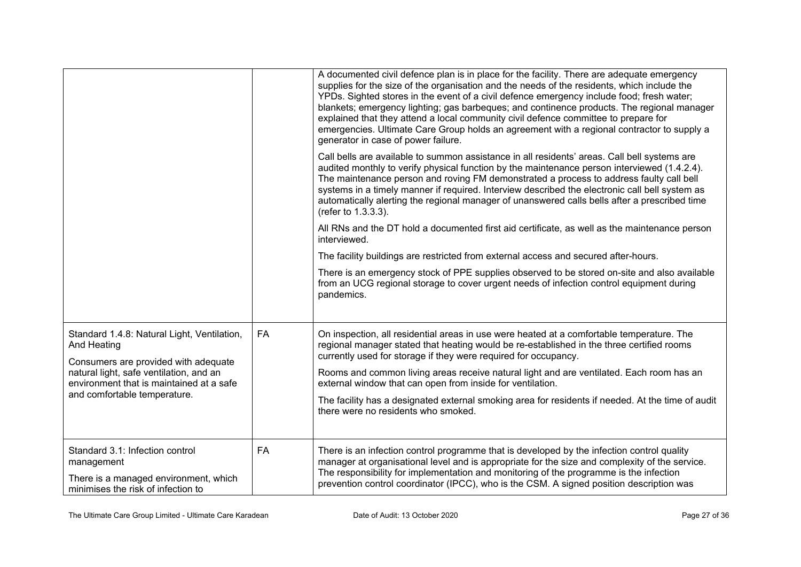|                                                                                                                              |           | A documented civil defence plan is in place for the facility. There are adequate emergency<br>supplies for the size of the organisation and the needs of the residents, which include the<br>YPDs. Sighted stores in the event of a civil defence emergency include food; fresh water;<br>blankets; emergency lighting; gas barbeques; and continence products. The regional manager<br>explained that they attend a local community civil defence committee to prepare for<br>emergencies. Ultimate Care Group holds an agreement with a regional contractor to supply a<br>generator in case of power failure. |
|------------------------------------------------------------------------------------------------------------------------------|-----------|------------------------------------------------------------------------------------------------------------------------------------------------------------------------------------------------------------------------------------------------------------------------------------------------------------------------------------------------------------------------------------------------------------------------------------------------------------------------------------------------------------------------------------------------------------------------------------------------------------------|
|                                                                                                                              |           | Call bells are available to summon assistance in all residents' areas. Call bell systems are<br>audited monthly to verify physical function by the maintenance person interviewed (1.4.2.4).<br>The maintenance person and roving FM demonstrated a process to address faulty call bell<br>systems in a timely manner if required. Interview described the electronic call bell system as<br>automatically alerting the regional manager of unanswered calls bells after a prescribed time<br>(refer to 1.3.3.3).                                                                                                |
|                                                                                                                              |           | All RNs and the DT hold a documented first aid certificate, as well as the maintenance person<br>interviewed.                                                                                                                                                                                                                                                                                                                                                                                                                                                                                                    |
|                                                                                                                              |           | The facility buildings are restricted from external access and secured after-hours.                                                                                                                                                                                                                                                                                                                                                                                                                                                                                                                              |
|                                                                                                                              |           | There is an emergency stock of PPE supplies observed to be stored on-site and also available<br>from an UCG regional storage to cover urgent needs of infection control equipment during<br>pandemics.                                                                                                                                                                                                                                                                                                                                                                                                           |
| Standard 1.4.8: Natural Light, Ventilation,<br>And Heating<br>Consumers are provided with adequate                           | FA        | On inspection, all residential areas in use were heated at a comfortable temperature. The<br>regional manager stated that heating would be re-established in the three certified rooms<br>currently used for storage if they were required for occupancy.                                                                                                                                                                                                                                                                                                                                                        |
| natural light, safe ventilation, and an<br>environment that is maintained at a safe                                          |           | Rooms and common living areas receive natural light and are ventilated. Each room has an<br>external window that can open from inside for ventilation.                                                                                                                                                                                                                                                                                                                                                                                                                                                           |
| and comfortable temperature.                                                                                                 |           | The facility has a designated external smoking area for residents if needed. At the time of audit<br>there were no residents who smoked.                                                                                                                                                                                                                                                                                                                                                                                                                                                                         |
| Standard 3.1: Infection control<br>management<br>There is a managed environment, which<br>minimises the risk of infection to | <b>FA</b> | There is an infection control programme that is developed by the infection control quality<br>manager at organisational level and is appropriate for the size and complexity of the service.<br>The responsibility for implementation and monitoring of the programme is the infection<br>prevention control coordinator (IPCC), who is the CSM. A signed position description was                                                                                                                                                                                                                               |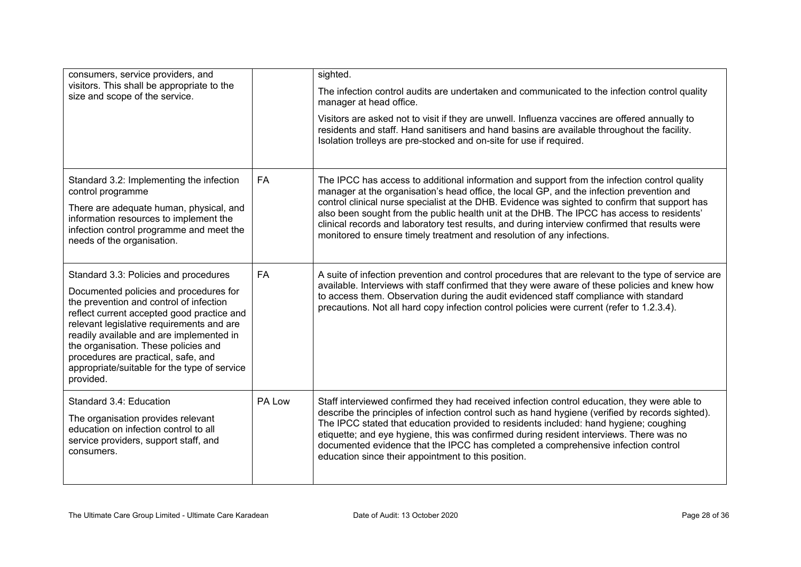| consumers, service providers, and<br>visitors. This shall be appropriate to the<br>size and scope of the service.                                                                                                                                                                                                                                                                                             |           | sighted.<br>The infection control audits are undertaken and communicated to the infection control quality<br>manager at head office.<br>Visitors are asked not to visit if they are unwell. Influenza vaccines are offered annually to<br>residents and staff. Hand sanitisers and hand basins are available throughout the facility.<br>Isolation trolleys are pre-stocked and on-site for use if required.                                                                                                                                                          |
|---------------------------------------------------------------------------------------------------------------------------------------------------------------------------------------------------------------------------------------------------------------------------------------------------------------------------------------------------------------------------------------------------------------|-----------|-----------------------------------------------------------------------------------------------------------------------------------------------------------------------------------------------------------------------------------------------------------------------------------------------------------------------------------------------------------------------------------------------------------------------------------------------------------------------------------------------------------------------------------------------------------------------|
| Standard 3.2: Implementing the infection<br>control programme<br>There are adequate human, physical, and<br>information resources to implement the<br>infection control programme and meet the<br>needs of the organisation.                                                                                                                                                                                  | <b>FA</b> | The IPCC has access to additional information and support from the infection control quality<br>manager at the organisation's head office, the local GP, and the infection prevention and<br>control clinical nurse specialist at the DHB. Evidence was sighted to confirm that support has<br>also been sought from the public health unit at the DHB. The IPCC has access to residents'<br>clinical records and laboratory test results, and during interview confirmed that results were<br>monitored to ensure timely treatment and resolution of any infections. |
| Standard 3.3: Policies and procedures<br>Documented policies and procedures for<br>the prevention and control of infection<br>reflect current accepted good practice and<br>relevant legislative requirements and are<br>readily available and are implemented in<br>the organisation. These policies and<br>procedures are practical, safe, and<br>appropriate/suitable for the type of service<br>provided. | <b>FA</b> | A suite of infection prevention and control procedures that are relevant to the type of service are<br>available. Interviews with staff confirmed that they were aware of these policies and knew how<br>to access them. Observation during the audit evidenced staff compliance with standard<br>precautions. Not all hard copy infection control policies were current (refer to 1.2.3.4).                                                                                                                                                                          |
| Standard 3.4: Education<br>The organisation provides relevant<br>education on infection control to all<br>service providers, support staff, and<br>consumers.                                                                                                                                                                                                                                                 | PA Low    | Staff interviewed confirmed they had received infection control education, they were able to<br>describe the principles of infection control such as hand hygiene (verified by records sighted).<br>The IPCC stated that education provided to residents included: hand hygiene; coughing<br>etiquette; and eye hygiene, this was confirmed during resident interviews. There was no<br>documented evidence that the IPCC has completed a comprehensive infection control<br>education since their appointment to this position.                                      |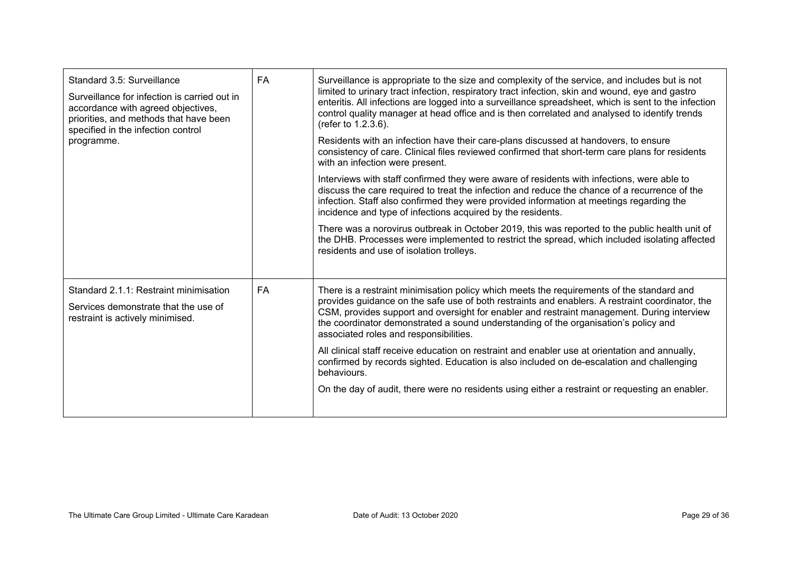| Standard 3.5: Surveillance<br>Surveillance for infection is carried out in<br>accordance with agreed objectives,<br>priorities, and methods that have been<br>specified in the infection control<br>programme. | FA | Surveillance is appropriate to the size and complexity of the service, and includes but is not<br>limited to urinary tract infection, respiratory tract infection, skin and wound, eye and gastro<br>enteritis. All infections are logged into a surveillance spreadsheet, which is sent to the infection<br>control quality manager at head office and is then correlated and analysed to identify trends<br>(refer to 1.2.3.6).<br>Residents with an infection have their care-plans discussed at handovers, to ensure<br>consistency of care. Clinical files reviewed confirmed that short-term care plans for residents<br>with an infection were present.<br>Interviews with staff confirmed they were aware of residents with infections, were able to<br>discuss the care required to treat the infection and reduce the chance of a recurrence of the<br>infection. Staff also confirmed they were provided information at meetings regarding the<br>incidence and type of infections acquired by the residents.<br>There was a norovirus outbreak in October 2019, this was reported to the public health unit of<br>the DHB. Processes were implemented to restrict the spread, which included isolating affected<br>residents and use of isolation trolleys. |
|----------------------------------------------------------------------------------------------------------------------------------------------------------------------------------------------------------------|----|-------------------------------------------------------------------------------------------------------------------------------------------------------------------------------------------------------------------------------------------------------------------------------------------------------------------------------------------------------------------------------------------------------------------------------------------------------------------------------------------------------------------------------------------------------------------------------------------------------------------------------------------------------------------------------------------------------------------------------------------------------------------------------------------------------------------------------------------------------------------------------------------------------------------------------------------------------------------------------------------------------------------------------------------------------------------------------------------------------------------------------------------------------------------------------------------------------------------------------------------------------------------------|
| Standard 2.1.1: Restraint minimisation<br>Services demonstrate that the use of<br>restraint is actively minimised.                                                                                             | FA | There is a restraint minimisation policy which meets the requirements of the standard and<br>provides guidance on the safe use of both restraints and enablers. A restraint coordinator, the<br>CSM, provides support and oversight for enabler and restraint management. During interview<br>the coordinator demonstrated a sound understanding of the organisation's policy and<br>associated roles and responsibilities.<br>All clinical staff receive education on restraint and enabler use at orientation and annually,<br>confirmed by records sighted. Education is also included on de-escalation and challenging<br>behaviours.<br>On the day of audit, there were no residents using either a restraint or requesting an enabler.                                                                                                                                                                                                                                                                                                                                                                                                                                                                                                                            |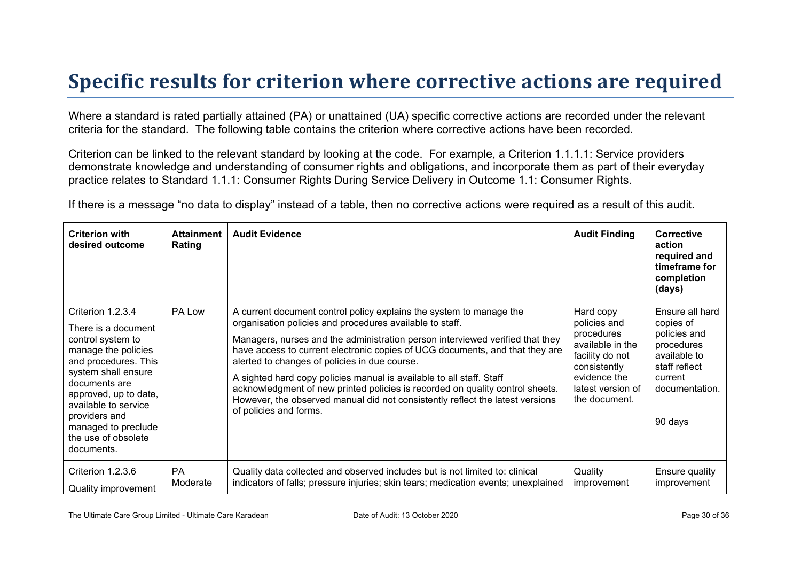### **Specific results for criterion where corrective actions are required**

Where a standard is rated partially attained (PA) or unattained (UA) specific corrective actions are recorded under the relevant criteria for the standard. The following table contains the criterion where corrective actions have been recorded.

Criterion can be linked to the relevant standard by looking at the code. For example, a Criterion 1.1.1.1: Service providers demonstrate knowledge and understanding of consumer rights and obligations, and incorporate them as part of their everyday practice relates to Standard 1.1.1: Consumer Rights During Service Delivery in Outcome 1.1: Consumer Rights.

If there is a message "no data to display" instead of a table, then no corrective actions were required as a result of this audit.

| <b>Criterion with</b><br>desired outcome                                                                                                                                                                                                                                           | <b>Attainment</b><br>Rating | <b>Audit Evidence</b>                                                                                                                                                                                                                                                                                                                                                                                                                                                                                                                                                                                                 | <b>Audit Finding</b>                                                                                                                                 | <b>Corrective</b><br>action<br>required and<br>timeframe for<br>completion<br>(days)                                                |
|------------------------------------------------------------------------------------------------------------------------------------------------------------------------------------------------------------------------------------------------------------------------------------|-----------------------------|-----------------------------------------------------------------------------------------------------------------------------------------------------------------------------------------------------------------------------------------------------------------------------------------------------------------------------------------------------------------------------------------------------------------------------------------------------------------------------------------------------------------------------------------------------------------------------------------------------------------------|------------------------------------------------------------------------------------------------------------------------------------------------------|-------------------------------------------------------------------------------------------------------------------------------------|
| Criterion 1.2.3.4<br>There is a document<br>control system to<br>manage the policies<br>and procedures. This<br>system shall ensure<br>documents are<br>approved, up to date,<br>available to service<br>providers and<br>managed to preclude<br>the use of obsolete<br>documents. | PA Low                      | A current document control policy explains the system to manage the<br>organisation policies and procedures available to staff.<br>Managers, nurses and the administration person interviewed verified that they<br>have access to current electronic copies of UCG documents, and that they are<br>alerted to changes of policies in due course.<br>A sighted hard copy policies manual is available to all staff. Staff<br>acknowledgment of new printed policies is recorded on quality control sheets.<br>However, the observed manual did not consistently reflect the latest versions<br>of policies and forms. | Hard copy<br>policies and<br>procedures<br>available in the<br>facility do not<br>consistently<br>evidence the<br>latest version of<br>the document. | Ensure all hard<br>copies of<br>policies and<br>procedures<br>available to<br>staff reflect<br>current<br>documentation.<br>90 days |
| Criterion 1.2.3.6<br>Quality improvement                                                                                                                                                                                                                                           | <b>PA</b><br>Moderate       | Quality data collected and observed includes but is not limited to: clinical<br>indicators of falls; pressure injuries; skin tears; medication events; unexplained                                                                                                                                                                                                                                                                                                                                                                                                                                                    | Quality<br>improvement                                                                                                                               | Ensure quality<br>improvement                                                                                                       |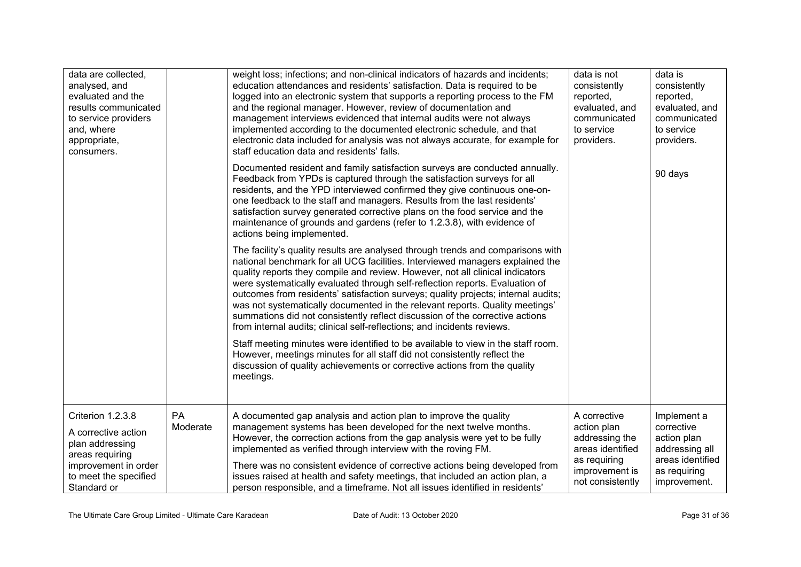| data are collected,<br>analysed, and<br>evaluated and the<br>results communicated<br>to service providers<br>and, where<br>appropriate,<br>consumers. |                | weight loss; infections; and non-clinical indicators of hazards and incidents;<br>education attendances and residents' satisfaction. Data is required to be<br>logged into an electronic system that supports a reporting process to the FM<br>and the regional manager. However, review of documentation and<br>management interviews evidenced that internal audits were not always<br>implemented according to the documented electronic schedule, and that<br>electronic data included for analysis was not always accurate, for example for<br>staff education data and residents' falls.                                                                    | data is not<br>consistently<br>reported,<br>evaluated, and<br>communicated<br>to service<br>providers.                  | data is<br>consistently<br>reported,<br>evaluated, and<br>communicated<br>to service<br>providers.             |
|-------------------------------------------------------------------------------------------------------------------------------------------------------|----------------|-------------------------------------------------------------------------------------------------------------------------------------------------------------------------------------------------------------------------------------------------------------------------------------------------------------------------------------------------------------------------------------------------------------------------------------------------------------------------------------------------------------------------------------------------------------------------------------------------------------------------------------------------------------------|-------------------------------------------------------------------------------------------------------------------------|----------------------------------------------------------------------------------------------------------------|
|                                                                                                                                                       |                | Documented resident and family satisfaction surveys are conducted annually.<br>Feedback from YPDs is captured through the satisfaction surveys for all<br>residents, and the YPD interviewed confirmed they give continuous one-on-<br>one feedback to the staff and managers. Results from the last residents'<br>satisfaction survey generated corrective plans on the food service and the<br>maintenance of grounds and gardens (refer to 1.2.3.8), with evidence of<br>actions being implemented.                                                                                                                                                            |                                                                                                                         | 90 days                                                                                                        |
|                                                                                                                                                       |                | The facility's quality results are analysed through trends and comparisons with<br>national benchmark for all UCG facilities. Interviewed managers explained the<br>quality reports they compile and review. However, not all clinical indicators<br>were systematically evaluated through self-reflection reports. Evaluation of<br>outcomes from residents' satisfaction surveys; quality projects; internal audits;<br>was not systematically documented in the relevant reports. Quality meetings'<br>summations did not consistently reflect discussion of the corrective actions<br>from internal audits; clinical self-reflections; and incidents reviews. |                                                                                                                         |                                                                                                                |
|                                                                                                                                                       |                | Staff meeting minutes were identified to be available to view in the staff room.<br>However, meetings minutes for all staff did not consistently reflect the<br>discussion of quality achievements or corrective actions from the quality<br>meetings.                                                                                                                                                                                                                                                                                                                                                                                                            |                                                                                                                         |                                                                                                                |
| Criterion 1.2.3.8<br>A corrective action<br>plan addressing<br>areas requiring<br>improvement in order<br>to meet the specified<br>Standard or        | PA<br>Moderate | A documented gap analysis and action plan to improve the quality<br>management systems has been developed for the next twelve months.<br>However, the correction actions from the gap analysis were yet to be fully<br>implemented as verified through interview with the roving FM.<br>There was no consistent evidence of corrective actions being developed from<br>issues raised at health and safety meetings, that included an action plan, a<br>person responsible, and a timeframe. Not all issues identified in residents'                                                                                                                               | A corrective<br>action plan<br>addressing the<br>areas identified<br>as requiring<br>improvement is<br>not consistently | Implement a<br>corrective<br>action plan<br>addressing all<br>areas identified<br>as requiring<br>improvement. |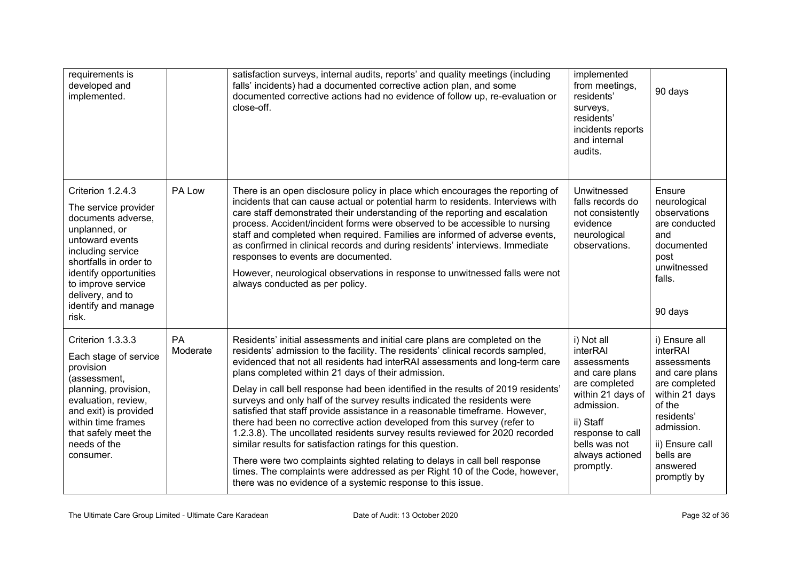| requirements is<br>developed and<br>implemented.                                                                                                                                                                                                       |                       | satisfaction surveys, internal audits, reports' and quality meetings (including<br>falls' incidents) had a documented corrective action plan, and some<br>documented corrective actions had no evidence of follow up, re-evaluation or<br>close-off.                                                                                                                                                                                                                                                                                                                                                                                                                                                                                                                                                                                                                                                                                                                                                     | implemented<br>from meetings,<br>residents'<br>surveys,<br>residents'<br>incidents reports<br>and internal<br>audits.                                                                         | 90 days                                                                                                                                                                                        |
|--------------------------------------------------------------------------------------------------------------------------------------------------------------------------------------------------------------------------------------------------------|-----------------------|----------------------------------------------------------------------------------------------------------------------------------------------------------------------------------------------------------------------------------------------------------------------------------------------------------------------------------------------------------------------------------------------------------------------------------------------------------------------------------------------------------------------------------------------------------------------------------------------------------------------------------------------------------------------------------------------------------------------------------------------------------------------------------------------------------------------------------------------------------------------------------------------------------------------------------------------------------------------------------------------------------|-----------------------------------------------------------------------------------------------------------------------------------------------------------------------------------------------|------------------------------------------------------------------------------------------------------------------------------------------------------------------------------------------------|
| Criterion 1.2.4.3<br>The service provider<br>documents adverse,<br>unplanned, or<br>untoward events<br>including service<br>shortfalls in order to<br>identify opportunities<br>to improve service<br>delivery, and to<br>identify and manage<br>risk. | PA Low                | There is an open disclosure policy in place which encourages the reporting of<br>incidents that can cause actual or potential harm to residents. Interviews with<br>care staff demonstrated their understanding of the reporting and escalation<br>process. Accident/incident forms were observed to be accessible to nursing<br>staff and completed when required. Families are informed of adverse events,<br>as confirmed in clinical records and during residents' interviews. Immediate<br>responses to events are documented.<br>However, neurological observations in response to unwitnessed falls were not<br>always conducted as per policy.                                                                                                                                                                                                                                                                                                                                                   | Unwitnessed<br>falls records do<br>not consistently<br>evidence<br>neurological<br>observations.                                                                                              | Ensure<br>neurological<br>observations<br>are conducted<br>and<br>documented<br>post<br>unwitnessed<br>falls.<br>90 days                                                                       |
| Criterion 1.3.3.3<br>Each stage of service<br>provision<br>(assessment,<br>planning, provision,<br>evaluation, review,<br>and exit) is provided<br>within time frames<br>that safely meet the<br>needs of the<br>consumer.                             | <b>PA</b><br>Moderate | Residents' initial assessments and initial care plans are completed on the<br>residents' admission to the facility. The residents' clinical records sampled,<br>evidenced that not all residents had interRAI assessments and long-term care<br>plans completed within 21 days of their admission.<br>Delay in call bell response had been identified in the results of 2019 residents'<br>surveys and only half of the survey results indicated the residents were<br>satisfied that staff provide assistance in a reasonable timeframe. However,<br>there had been no corrective action developed from this survey (refer to<br>1.2.3.8). The uncollated residents survey results reviewed for 2020 recorded<br>similar results for satisfaction ratings for this question.<br>There were two complaints sighted relating to delays in call bell response<br>times. The complaints were addressed as per Right 10 of the Code, however,<br>there was no evidence of a systemic response to this issue. | i) Not all<br>interRAI<br>assessments<br>and care plans<br>are completed<br>within 21 days of<br>admission.<br>ii) Staff<br>response to call<br>bells was not<br>always actioned<br>promptly. | i) Ensure all<br>interRAI<br>assessments<br>and care plans<br>are completed<br>within 21 days<br>of the<br>residents'<br>admission.<br>ii) Ensure call<br>bells are<br>answered<br>promptly by |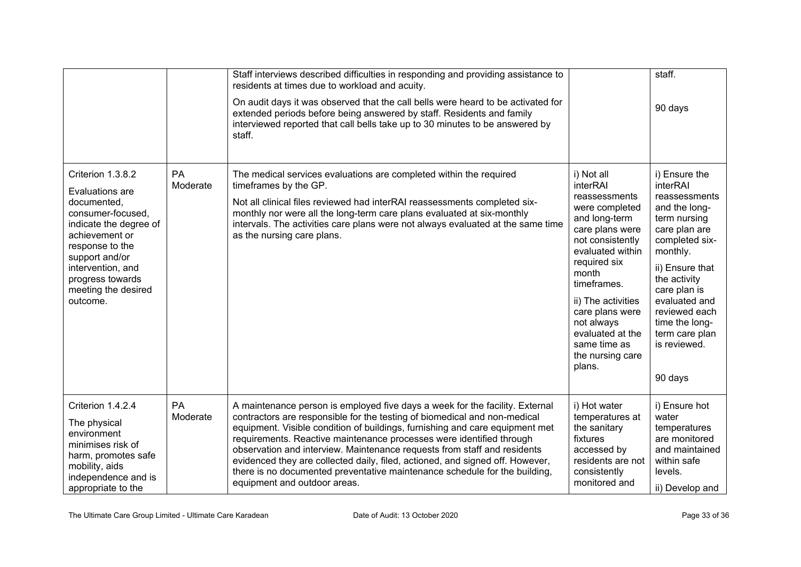|                                                                                                                                                                                                                                       |                       | Staff interviews described difficulties in responding and providing assistance to<br>residents at times due to workload and acuity.<br>On audit days it was observed that the call bells were heard to be activated for<br>extended periods before being answered by staff. Residents and family<br>interviewed reported that call bells take up to 30 minutes to be answered by<br>staff.                                                                                                                                                                                                   |                                                                                                                                                                                                                                                                                                        | staff.<br>90 days                                                                                                                                                                                                                                                              |
|---------------------------------------------------------------------------------------------------------------------------------------------------------------------------------------------------------------------------------------|-----------------------|----------------------------------------------------------------------------------------------------------------------------------------------------------------------------------------------------------------------------------------------------------------------------------------------------------------------------------------------------------------------------------------------------------------------------------------------------------------------------------------------------------------------------------------------------------------------------------------------|--------------------------------------------------------------------------------------------------------------------------------------------------------------------------------------------------------------------------------------------------------------------------------------------------------|--------------------------------------------------------------------------------------------------------------------------------------------------------------------------------------------------------------------------------------------------------------------------------|
| Criterion 1.3.8.2<br>Evaluations are<br>documented,<br>consumer-focused,<br>indicate the degree of<br>achievement or<br>response to the<br>support and/or<br>intervention, and<br>progress towards<br>meeting the desired<br>outcome. | <b>PA</b><br>Moderate | The medical services evaluations are completed within the required<br>timeframes by the GP.<br>Not all clinical files reviewed had interRAI reassessments completed six-<br>monthly nor were all the long-term care plans evaluated at six-monthly<br>intervals. The activities care plans were not always evaluated at the same time<br>as the nursing care plans.                                                                                                                                                                                                                          | i) Not all<br>interRAI<br>reassessments<br>were completed<br>and long-term<br>care plans were<br>not consistently<br>evaluated within<br>required six<br>month<br>timeframes.<br>ii) The activities<br>care plans were<br>not always<br>evaluated at the<br>same time as<br>the nursing care<br>plans. | i) Ensure the<br>interRAI<br>reassessments<br>and the long-<br>term nursing<br>care plan are<br>completed six-<br>monthly.<br>ii) Ensure that<br>the activity<br>care plan is<br>evaluated and<br>reviewed each<br>time the long-<br>term care plan<br>is reviewed.<br>90 days |
| Criterion 1.4.2.4<br>The physical<br>environment<br>minimises risk of<br>harm, promotes safe<br>mobility, aids<br>independence and is<br>appropriate to the                                                                           | PA<br>Moderate        | A maintenance person is employed five days a week for the facility. External<br>contractors are responsible for the testing of biomedical and non-medical<br>equipment. Visible condition of buildings, furnishing and care equipment met<br>requirements. Reactive maintenance processes were identified through<br>observation and interview. Maintenance requests from staff and residents<br>evidenced they are collected daily, filed, actioned, and signed off. However,<br>there is no documented preventative maintenance schedule for the building,<br>equipment and outdoor areas. | i) Hot water<br>temperatures at<br>the sanitary<br>fixtures<br>accessed by<br>residents are not<br>consistently<br>monitored and                                                                                                                                                                       | i) Ensure hot<br>water<br>temperatures<br>are monitored<br>and maintained<br>within safe<br>levels.<br>ii) Develop and                                                                                                                                                         |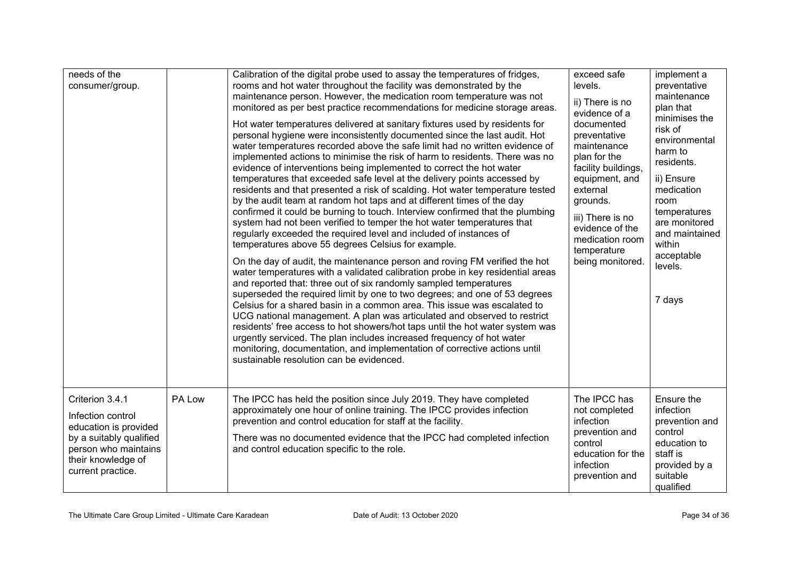| needs of the<br>consumer/group.                                                                                                                             |        | Calibration of the digital probe used to assay the temperatures of fridges,<br>rooms and hot water throughout the facility was demonstrated by the<br>maintenance person. However, the medication room temperature was not<br>monitored as per best practice recommendations for medicine storage areas.<br>Hot water temperatures delivered at sanitary fixtures used by residents for<br>personal hygiene were inconsistently documented since the last audit. Hot<br>water temperatures recorded above the safe limit had no written evidence of<br>implemented actions to minimise the risk of harm to residents. There was no<br>evidence of interventions being implemented to correct the hot water<br>temperatures that exceeded safe level at the delivery points accessed by<br>residents and that presented a risk of scalding. Hot water temperature tested<br>by the audit team at random hot taps and at different times of the day<br>confirmed it could be burning to touch. Interview confirmed that the plumbing<br>system had not been verified to temper the hot water temperatures that<br>regularly exceeded the required level and included of instances of<br>temperatures above 55 degrees Celsius for example.<br>On the day of audit, the maintenance person and roving FM verified the hot<br>water temperatures with a validated calibration probe in key residential areas<br>and reported that: three out of six randomly sampled temperatures<br>superseded the required limit by one to two degrees; and one of 53 degrees<br>Celsius for a shared basin in a common area. This issue was escalated to<br>UCG national management. A plan was articulated and observed to restrict<br>residents' free access to hot showers/hot taps until the hot water system was<br>urgently serviced. The plan includes increased frequency of hot water<br>monitoring, documentation, and implementation of corrective actions until<br>sustainable resolution can be evidenced. | exceed safe<br>levels.<br>ii) There is no<br>evidence of a<br>documented<br>preventative<br>maintenance<br>plan for the<br>facility buildings,<br>equipment, and<br>external<br>grounds.<br>iii) There is no<br>evidence of the<br>medication room<br>temperature<br>being monitored. | implement a<br>preventative<br>maintenance<br>plan that<br>minimises the<br>risk of<br>environmental<br>harm to<br>residents.<br>ii) Ensure<br>medication<br>room<br>temperatures<br>are monitored<br>and maintained<br>within<br>acceptable<br>levels.<br>7 days |
|-------------------------------------------------------------------------------------------------------------------------------------------------------------|--------|--------------------------------------------------------------------------------------------------------------------------------------------------------------------------------------------------------------------------------------------------------------------------------------------------------------------------------------------------------------------------------------------------------------------------------------------------------------------------------------------------------------------------------------------------------------------------------------------------------------------------------------------------------------------------------------------------------------------------------------------------------------------------------------------------------------------------------------------------------------------------------------------------------------------------------------------------------------------------------------------------------------------------------------------------------------------------------------------------------------------------------------------------------------------------------------------------------------------------------------------------------------------------------------------------------------------------------------------------------------------------------------------------------------------------------------------------------------------------------------------------------------------------------------------------------------------------------------------------------------------------------------------------------------------------------------------------------------------------------------------------------------------------------------------------------------------------------------------------------------------------------------------------------------------------------------------------------------------------------------------------------|---------------------------------------------------------------------------------------------------------------------------------------------------------------------------------------------------------------------------------------------------------------------------------------|-------------------------------------------------------------------------------------------------------------------------------------------------------------------------------------------------------------------------------------------------------------------|
| Criterion 3.4.1<br>Infection control<br>education is provided<br>by a suitably qualified<br>person who maintains<br>their knowledge of<br>current practice. | PA Low | The IPCC has held the position since July 2019. They have completed<br>approximately one hour of online training. The IPCC provides infection<br>prevention and control education for staff at the facility.<br>There was no documented evidence that the IPCC had completed infection<br>and control education specific to the role.                                                                                                                                                                                                                                                                                                                                                                                                                                                                                                                                                                                                                                                                                                                                                                                                                                                                                                                                                                                                                                                                                                                                                                                                                                                                                                                                                                                                                                                                                                                                                                                                                                                                  | The IPCC has<br>not completed<br>infection<br>prevention and<br>control<br>education for the<br>infection<br>prevention and                                                                                                                                                           | Ensure the<br>infection<br>prevention and<br>control<br>education to<br>staff is<br>provided by a<br>suitable<br>qualified                                                                                                                                        |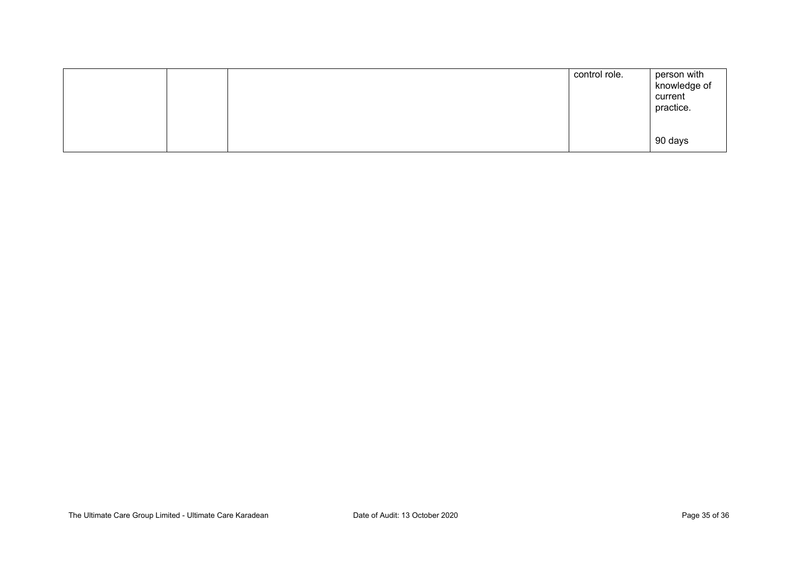|  | control role. | person with<br>knowledge of<br>current<br>practice. |
|--|---------------|-----------------------------------------------------|
|  |               | 90 days                                             |